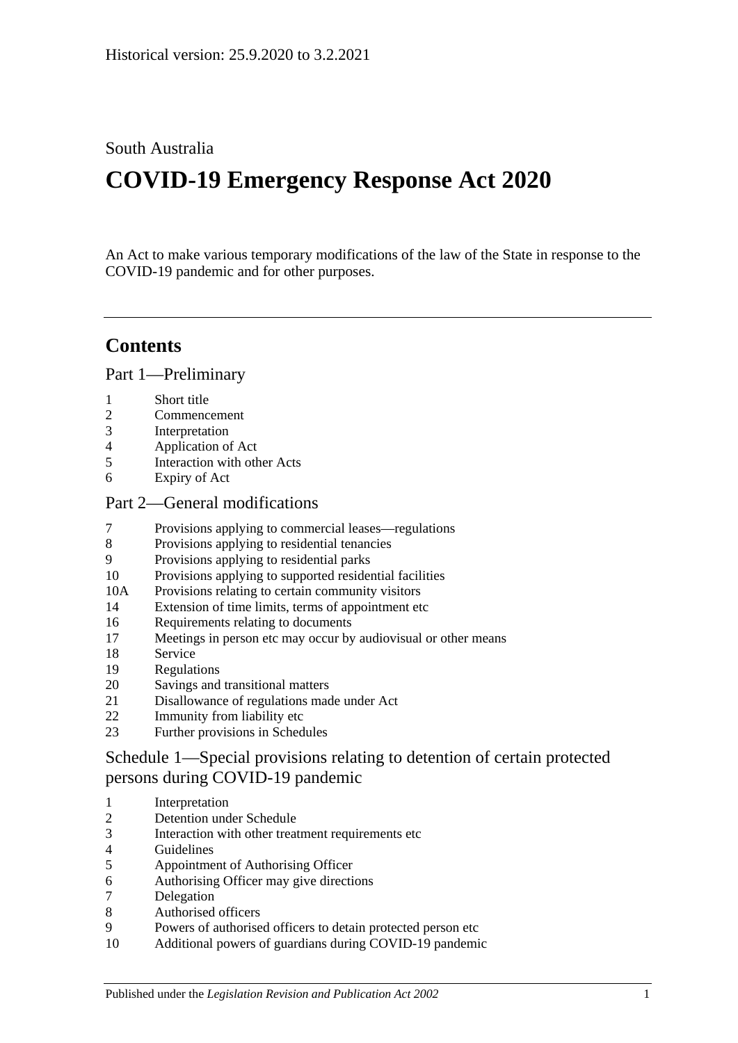## South Australia

# **COVID-19 Emergency Response Act 2020**

An Act to make various temporary modifications of the law of the State in response to the COVID-19 pandemic and for other purposes.

## **Contents**

Part [1—Preliminary](#page-2-0)

- [Short title](#page-2-1)
- [Commencement](#page-2-2)
- [Interpretation](#page-2-3)
- [Application of Act](#page-2-4)
- [Interaction with other Acts](#page-2-5)
- [Expiry of Act](#page-2-6)

#### Part [2—General modifications](#page-3-0)

- [Provisions applying to commercial leases—regulations](#page-3-1)
- [Provisions applying to residential tenancies](#page-6-0)
- [Provisions applying to residential parks](#page-9-0)
- [Provisions applying to supported residential facilities](#page-10-0)
- 10A [Provisions relating to certain community visitors](#page-11-0)
- [Extension of time limits, terms of appointment etc](#page-13-0)
- [Requirements relating to documents](#page-13-1)
- [Meetings in person etc may occur by audiovisual or other means](#page-14-0)
- [Service](#page-14-1)
- [Regulations](#page-14-2)
- [Savings and transitional matters](#page-16-0)
- [Disallowance of regulations made under Act](#page-16-1)
- [Immunity from liability etc](#page-17-0)
- [Further provisions in Schedules](#page-17-1)

Schedule [1—Special provisions relating to detention of certain protected](#page-17-2)  [persons during COVID-19 pandemic](#page-17-2)

- [Interpretation](#page-17-3)
- [Detention under Schedule](#page-18-0)
- [Interaction with other treatment requirements etc](#page-18-1)
- [Guidelines](#page-18-2)
- [Appointment of Authorising Officer](#page-19-0)
- [Authorising Officer may give directions](#page-19-1)
- [Delegation](#page-20-0)
- [Authorised officers](#page-20-1)
- [Powers of authorised officers to detain protected person etc](#page-21-0)
- [Additional powers of guardians during COVID-19 pandemic](#page-21-1)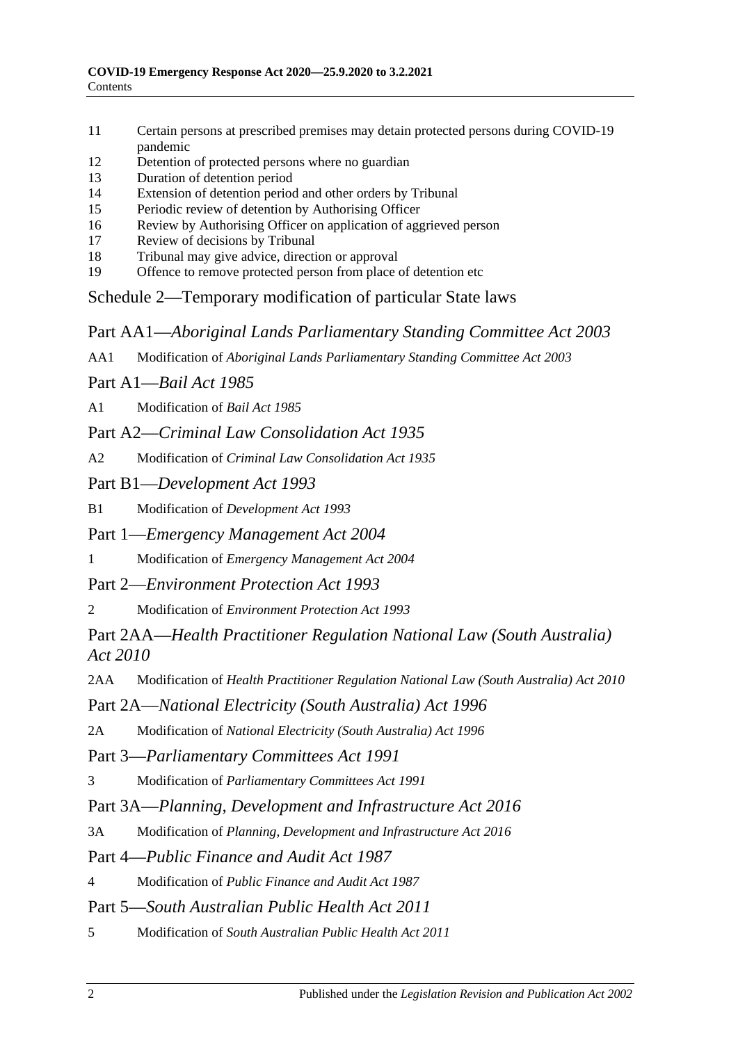- 11 [Certain persons at prescribed premises may detain protected persons during COVID-19](#page-22-0)  [pandemic](#page-22-0)
- 12 [Detention of protected persons where no guardian](#page-23-0)
- 13 [Duration of detention period](#page-23-1)
- 14 [Extension of detention period and other orders by Tribunal](#page-24-0)
- 15 [Periodic review of detention by Authorising Officer](#page-24-1)
- 16 [Review by Authorising Officer on application of aggrieved person](#page-24-2)
- 17 [Review of decisions by Tribunal](#page-24-3)
- 18 [Tribunal may give advice, direction or approval](#page-25-0)
- 19 [Offence to remove protected person from place of detention etc](#page-25-1)

Schedule [2—Temporary modification of particular State laws](#page-26-0)

Part AA1—*Aboriginal Lands Parliamentary Standing Committee Act 2003*

AA1 Modification of *[Aboriginal Lands Parliamentary Standing Committee Act](#page-26-1) 2003*

Part A1—*Bail Act 1985*

A1 [Modification of](#page-26-2) *Bail Act 1985*

Part A2—*Criminal Law Consolidation Act 1935*

- A2 Modification of *[Criminal Law Consolidation Act](#page-27-0) 1935*
- Part B1—*Development Act 1993*

B1 Modification of *[Development Act](#page-28-0) 1993*

Part 1—*Emergency Management Act 2004*

1 Modification of *[Emergency Management Act](#page-28-1) 2004*

Part 2—*Environment Protection Act 1993*

2 Modification of *[Environment Protection Act](#page-30-0) 1993*

Part 2AA—*Health Practitioner Regulation National Law (South Australia) Act 2010*

2AA Modification of *[Health Practitioner Regulation National Law \(South Australia\) Act](#page-31-0) 2010*

Part 2A—*National Electricity (South Australia) Act 1996*

2A Modification of *[National Electricity \(South Australia\) Act](#page-31-1) 1996*

Part 3—*Parliamentary Committees Act 1991*

3 Modification of *[Parliamentary Committees Act](#page-32-0) 1991*

Part 3A—*Planning, Development and Infrastructure Act 2016*

3A Modification of *[Planning, Development and Infrastructure Act](#page-34-0) 2016*

Part 4—*Public Finance and Audit Act 1987*

4 Modification of *[Public Finance and Audit Act](#page-34-1) 1987*

Part 5—*South Australian Public Health Act 2011*

5 Modification of *[South Australian Public Health Act](#page-34-2) 2011*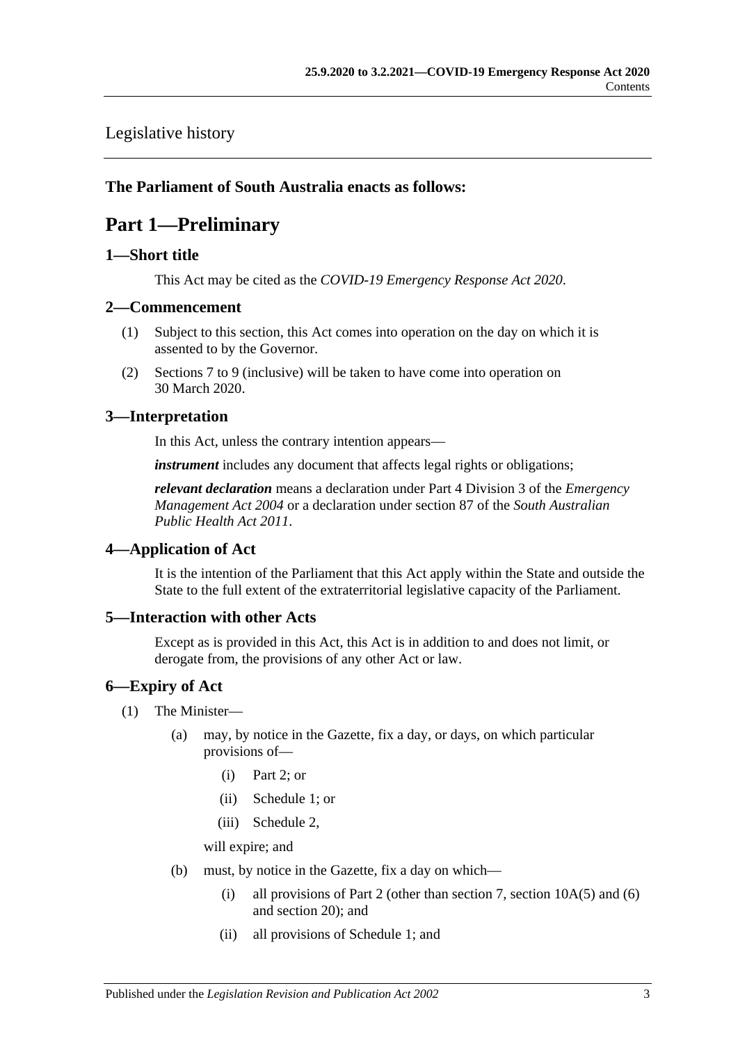[Legislative history](#page-36-0)

### <span id="page-2-0"></span>**The Parliament of South Australia enacts as follows:**

## **Part 1—Preliminary**

### <span id="page-2-1"></span>**1—Short title**

This Act may be cited as the *COVID-19 Emergency Response Act 2020*.

### <span id="page-2-2"></span>**2—Commencement**

- (1) Subject to this section, this Act comes into operation on the day on which it is assented to by the Governor.
- (2) Sections 7 to [9](#page-9-0) (inclusive) will be taken to have come into operation on 30 March 2020.

## <span id="page-2-3"></span>**3—Interpretation**

In this Act, unless the contrary intention appears—

*instrument* includes any document that affects legal rights or obligations;

*relevant declaration* means a declaration under Part 4 Division 3 of the *[Emergency](http://www.legislation.sa.gov.au/index.aspx?action=legref&type=act&legtitle=Emergency%20Management%20Act%202004)  [Management Act](http://www.legislation.sa.gov.au/index.aspx?action=legref&type=act&legtitle=Emergency%20Management%20Act%202004) 2004* or a declaration under section 87 of the *[South Australian](http://www.legislation.sa.gov.au/index.aspx?action=legref&type=act&legtitle=South%20Australian%20Public%20Health%20Act%202011)  [Public Health Act](http://www.legislation.sa.gov.au/index.aspx?action=legref&type=act&legtitle=South%20Australian%20Public%20Health%20Act%202011) 2011*.

## <span id="page-2-4"></span>**4—Application of Act**

It is the intention of the Parliament that this Act apply within the State and outside the State to the full extent of the extraterritorial legislative capacity of the Parliament.

## <span id="page-2-5"></span>**5—Interaction with other Acts**

Except as is provided in this Act, this Act is in addition to and does not limit, or derogate from, the provisions of any other Act or law.

## <span id="page-2-6"></span>**6—Expiry of Act**

- (1) The Minister—
	- (a) may, by notice in the Gazette, fix a day, or days, on which particular provisions of—
		- (i) [Part](#page-3-0) 2; or
		- (ii) [Schedule](#page-17-2) 1; or
		- (iii) [Schedule](#page-26-0) 2,

will expire; and

- <span id="page-2-7"></span>(b) must, by notice in the Gazette, fix a day on which—
	- (i) all provisions of [Part](#page-3-0) 2 (other than [section](#page-12-0) 7, section  $10A(5)$  and [\(6\)](#page-12-1) and [section](#page-16-0) 20); and
	- (ii) all provisions of [Schedule](#page-17-2) 1; and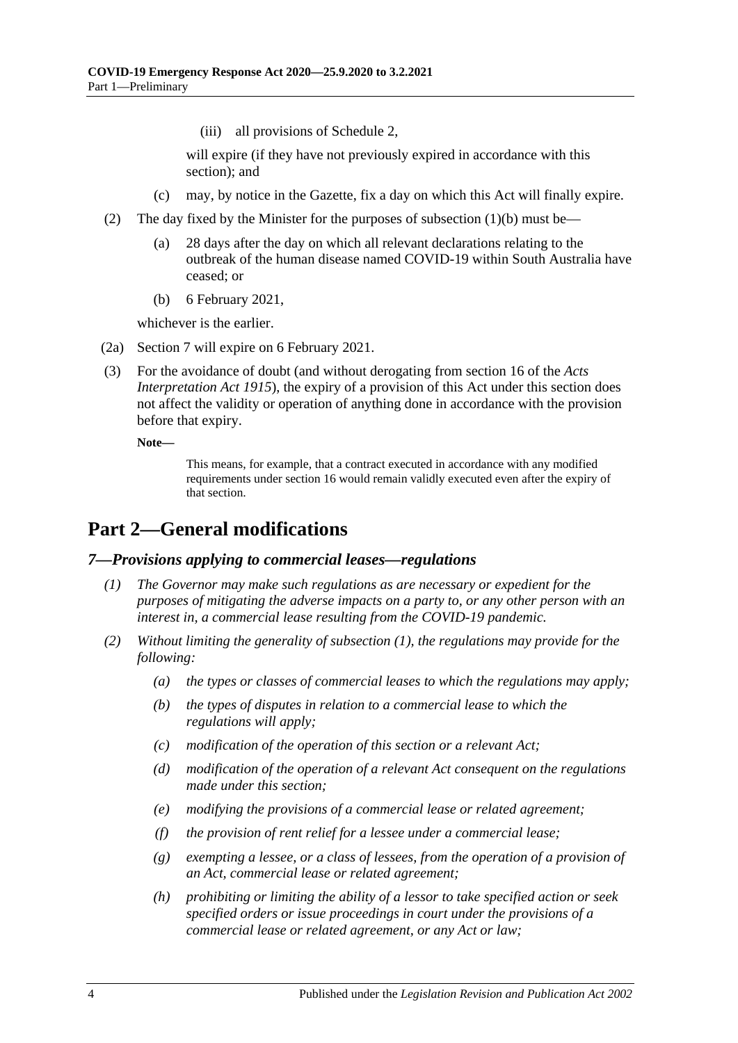(iii) all provisions of [Schedule](#page-26-0) 2,

will expire (if they have not previously expired in accordance with this section); and

- (c) may, by notice in the Gazette, fix a day on which this Act will finally expire.
- (2) The day fixed by the Minister for the purposes of [subsection](#page-2-7)  $(1)(b)$  must be—
	- (a) 28 days after the day on which all relevant declarations relating to the outbreak of the human disease named COVID-19 within South Australia have ceased; or
	- (b) 6 February 2021,

whichever is the earlier.

- (2a) Section 7 will expire on 6 February 2021.
- (3) For the avoidance of doubt (and without derogating from section 16 of the *[Acts](http://www.legislation.sa.gov.au/index.aspx?action=legref&type=act&legtitle=Acts%20Interpretation%20Act%201915)  [Interpretation Act](http://www.legislation.sa.gov.au/index.aspx?action=legref&type=act&legtitle=Acts%20Interpretation%20Act%201915) 1915*), the expiry of a provision of this Act under this section does not affect the validity or operation of anything done in accordance with the provision before that expiry.

**Note—**

This means, for example, that a contract executed in accordance with any modified requirements under [section](#page-13-1) 16 would remain validly executed even after the expiry of that section.

## <span id="page-3-0"></span>**Part 2—General modifications**

#### <span id="page-3-2"></span><span id="page-3-1"></span>*7—Provisions applying to commercial leases—regulations*

- *(1) The Governor may make such regulations as are necessary or expedient for the purposes of mitigating the adverse impacts on a party to, or any other person with an interest in, a commercial lease resulting from the COVID-19 pandemic.*
- *(2) Without limiting the generality of [subsection](#page-3-2) (1), the regulations may provide for the following:*
	- *(a) the types or classes of commercial leases to which the regulations may apply;*
	- *(b) the types of disputes in relation to a commercial lease to which the regulations will apply;*
	- *(c) modification of the operation of this section or a relevant Act;*
	- *(d) modification of the operation of a relevant Act consequent on the regulations made under this section;*
	- *(e) modifying the provisions of a commercial lease or related agreement;*
	- *(f) the provision of rent relief for a lessee under a commercial lease;*
	- *(g) exempting a lessee, or a class of lessees, from the operation of a provision of an Act, commercial lease or related agreement;*
	- *(h) prohibiting or limiting the ability of a lessor to take specified action or seek specified orders or issue proceedings in court under the provisions of a commercial lease or related agreement, or any Act or law;*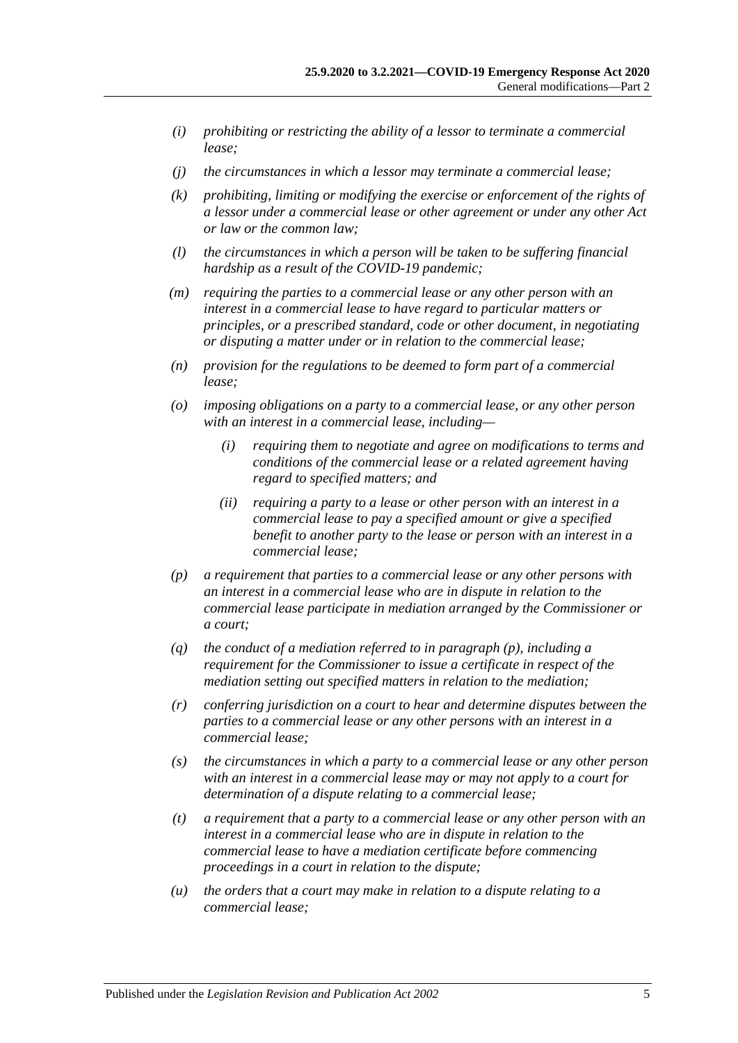- *(i) prohibiting or restricting the ability of a lessor to terminate a commercial lease;*
- *(j) the circumstances in which a lessor may terminate a commercial lease;*
- *(k) prohibiting, limiting or modifying the exercise or enforcement of the rights of a lessor under a commercial lease or other agreement or under any other Act or law or the common law;*
- *(l) the circumstances in which a person will be taken to be suffering financial hardship as a result of the COVID-19 pandemic;*
- *(m) requiring the parties to a commercial lease or any other person with an interest in a commercial lease to have regard to particular matters or principles, or a prescribed standard, code or other document, in negotiating or disputing a matter under or in relation to the commercial lease;*
- *(n) provision for the regulations to be deemed to form part of a commercial lease;*
- *(o) imposing obligations on a party to a commercial lease, or any other person with an interest in a commercial lease, including—*
	- *(i) requiring them to negotiate and agree on modifications to terms and conditions of the commercial lease or a related agreement having regard to specified matters; and*
	- *(ii) requiring a party to a lease or other person with an interest in a commercial lease to pay a specified amount or give a specified benefit to another party to the lease or person with an interest in a commercial lease;*
- <span id="page-4-0"></span>*(p) a requirement that parties to a commercial lease or any other persons with an interest in a commercial lease who are in dispute in relation to the commercial lease participate in mediation arranged by the Commissioner or a court;*
- *(q) the conduct of a mediation referred to in [paragraph](#page-4-0) (p), including a requirement for the Commissioner to issue a certificate in respect of the mediation setting out specified matters in relation to the mediation;*
- *(r) conferring jurisdiction on a court to hear and determine disputes between the parties to a commercial lease or any other persons with an interest in a commercial lease;*
- *(s) the circumstances in which a party to a commercial lease or any other person with an interest in a commercial lease may or may not apply to a court for determination of a dispute relating to a commercial lease;*
- *(t) a requirement that a party to a commercial lease or any other person with an interest in a commercial lease who are in dispute in relation to the commercial lease to have a mediation certificate before commencing proceedings in a court in relation to the dispute;*
- *(u) the orders that a court may make in relation to a dispute relating to a commercial lease;*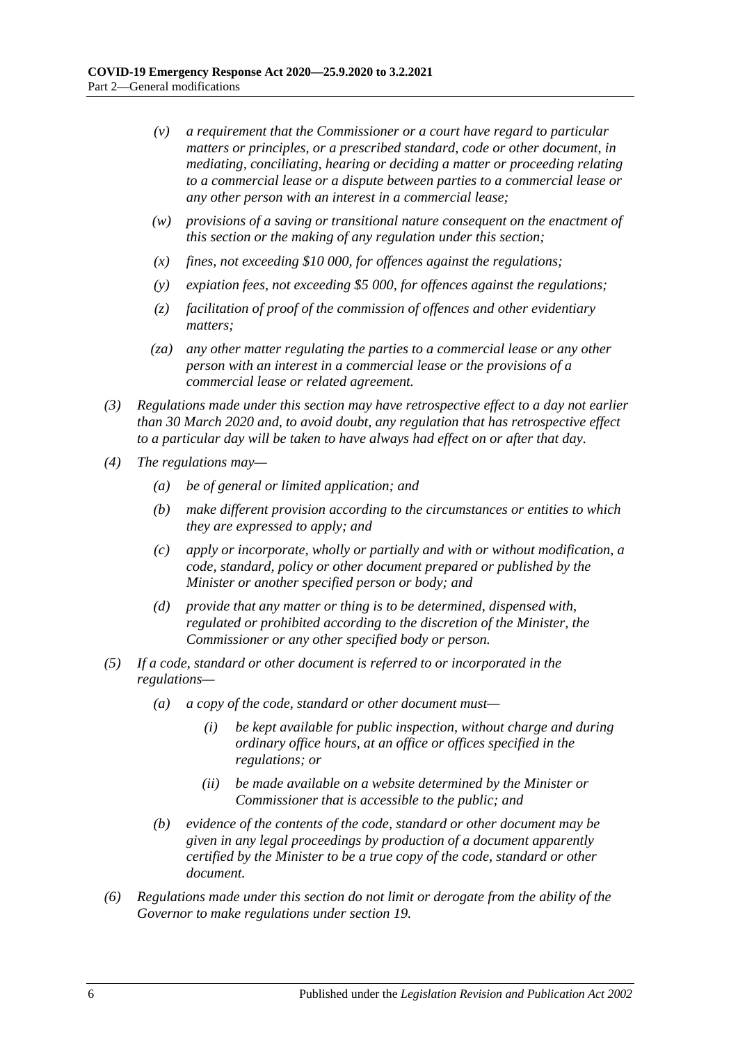- *(v) a requirement that the Commissioner or a court have regard to particular matters or principles, or a prescribed standard, code or other document, in mediating, conciliating, hearing or deciding a matter or proceeding relating to a commercial lease or a dispute between parties to a commercial lease or any other person with an interest in a commercial lease;*
- *(w) provisions of a saving or transitional nature consequent on the enactment of this section or the making of any regulation under this section;*
- *(x) fines, not exceeding \$10 000, for offences against the regulations;*
- *(y) expiation fees, not exceeding \$5 000, for offences against the regulations;*
- *(z) facilitation of proof of the commission of offences and other evidentiary matters;*
- *(za) any other matter regulating the parties to a commercial lease or any other person with an interest in a commercial lease or the provisions of a commercial lease or related agreement.*
- *(3) Regulations made under this section may have retrospective effect to a day not earlier than 30 March 2020 and, to avoid doubt, any regulation that has retrospective effect to a particular day will be taken to have always had effect on or after that day.*
- *(4) The regulations may—*
	- *(a) be of general or limited application; and*
	- *(b) make different provision according to the circumstances or entities to which they are expressed to apply; and*
	- *(c) apply or incorporate, wholly or partially and with or without modification, a code, standard, policy or other document prepared or published by the Minister or another specified person or body; and*
	- *(d) provide that any matter or thing is to be determined, dispensed with, regulated or prohibited according to the discretion of the Minister, the Commissioner or any other specified body or person.*
- *(5) If a code, standard or other document is referred to or incorporated in the regulations—*
	- *(a) a copy of the code, standard or other document must—*
		- *(i) be kept available for public inspection, without charge and during ordinary office hours, at an office or offices specified in the regulations; or*
		- *(ii) be made available on a website determined by the Minister or Commissioner that is accessible to the public; and*
	- *(b) evidence of the contents of the code, standard or other document may be given in any legal proceedings by production of a document apparently certified by the Minister to be a true copy of the code, standard or other document.*
- *(6) Regulations made under this section do not limit or derogate from the ability of the Governor to make regulations under [section](#page-14-2) 19.*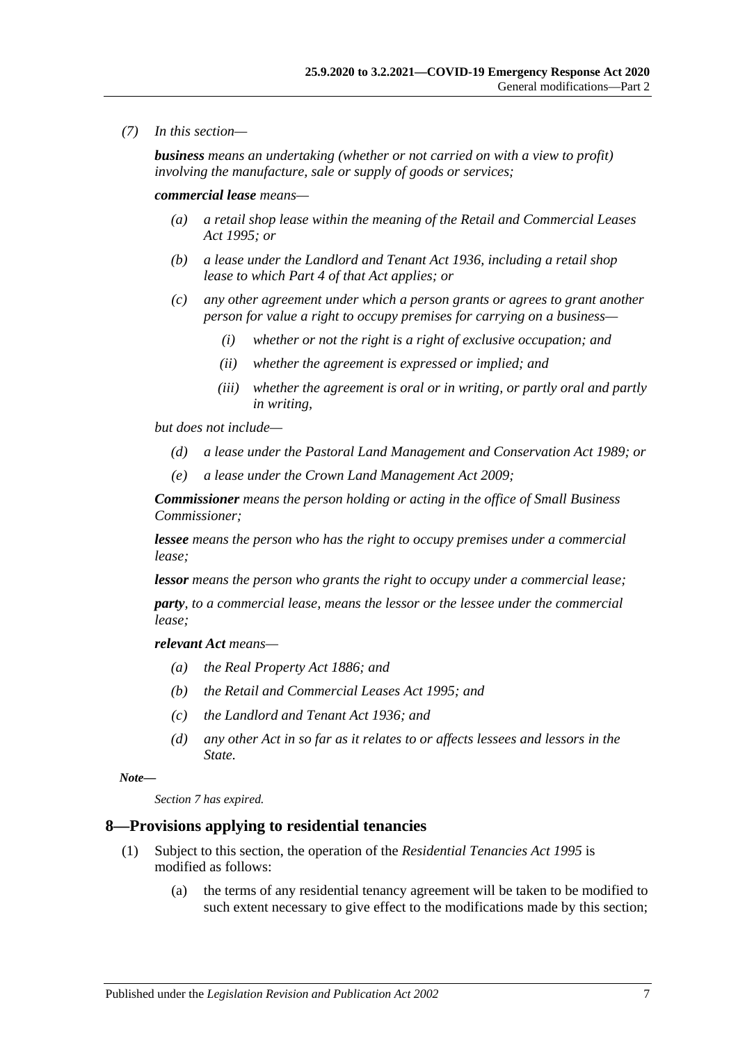*(7) In this section—*

*business means an undertaking (whether or not carried on with a view to profit) involving the manufacture, sale or supply of goods or services;*

*commercial lease means—*

- *(a) a retail shop lease within the meaning of the [Retail and Commercial Leases](http://www.legislation.sa.gov.au/index.aspx?action=legref&type=act&legtitle=Retail%20and%20Commercial%20Leases%20Act%201995)  Act [1995;](http://www.legislation.sa.gov.au/index.aspx?action=legref&type=act&legtitle=Retail%20and%20Commercial%20Leases%20Act%201995) or*
- *(b) a lease under the [Landlord and Tenant Act](http://www.legislation.sa.gov.au/index.aspx?action=legref&type=act&legtitle=Landlord%20and%20Tenant%20Act%201936) 1936, including a retail shop lease to which Part 4 of that Act applies; or*
- *(c) any other agreement under which a person grants or agrees to grant another person for value a right to occupy premises for carrying on a business—*
	- *(i) whether or not the right is a right of exclusive occupation; and*
	- *(ii) whether the agreement is expressed or implied; and*
	- *(iii) whether the agreement is oral or in writing, or partly oral and partly in writing,*

*but does not include—*

- *(d) a lease under the [Pastoral Land Management and Conservation Act](http://www.legislation.sa.gov.au/index.aspx?action=legref&type=act&legtitle=Pastoral%20Land%20Management%20and%20Conservation%20Act%201989) 1989; or*
- *(e) a lease under the [Crown Land Management Act](http://www.legislation.sa.gov.au/index.aspx?action=legref&type=act&legtitle=Crown%20Land%20Management%20Act%202009) 2009;*

*Commissioner means the person holding or acting in the office of Small Business Commissioner;*

*lessee means the person who has the right to occupy premises under a commercial lease;*

*lessor means the person who grants the right to occupy under a commercial lease;*

*party, to a commercial lease, means the lessor or the lessee under the commercial lease;*

*relevant Act means—*

- *(a) the [Real Property Act](http://www.legislation.sa.gov.au/index.aspx?action=legref&type=act&legtitle=Real%20Property%20Act%201886) 1886; and*
- *(b) the [Retail and Commercial Leases Act](http://www.legislation.sa.gov.au/index.aspx?action=legref&type=act&legtitle=Retail%20and%20Commercial%20Leases%20Act%201995) 1995; and*
- *(c) the [Landlord and Tenant Act](http://www.legislation.sa.gov.au/index.aspx?action=legref&type=act&legtitle=Landlord%20and%20Tenant%20Act%201936) 1936; and*
- *(d) any other Act in so far as it relates to or affects lessees and lessors in the State.*

*Note—*

*Section 7 has expired.*

#### <span id="page-6-0"></span>**8—Provisions applying to residential tenancies**

- (1) Subject to this section, the operation of the *[Residential Tenancies Act](http://www.legislation.sa.gov.au/index.aspx?action=legref&type=act&legtitle=Residential%20Tenancies%20Act%201995) 1995* is modified as follows:
	- (a) the terms of any residential tenancy agreement will be taken to be modified to such extent necessary to give effect to the modifications made by this section;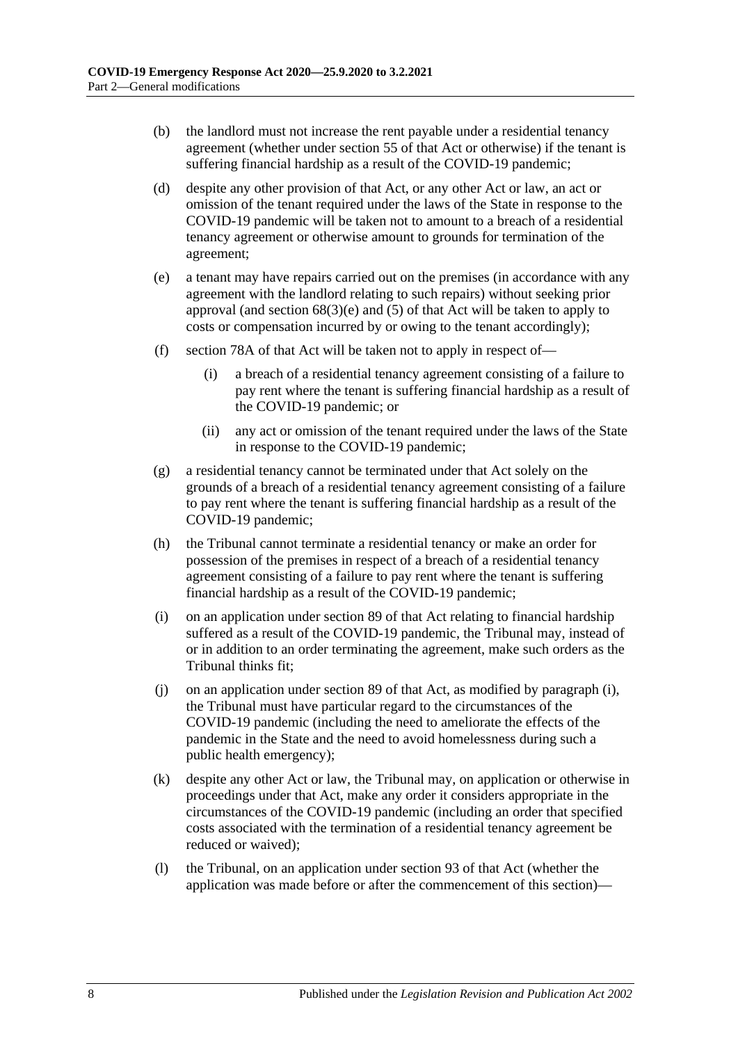- (b) the landlord must not increase the rent payable under a residential tenancy agreement (whether under section 55 of that Act or otherwise) if the tenant is suffering financial hardship as a result of the COVID-19 pandemic;
- (d) despite any other provision of that Act, or any other Act or law, an act or omission of the tenant required under the laws of the State in response to the COVID-19 pandemic will be taken not to amount to a breach of a residential tenancy agreement or otherwise amount to grounds for termination of the agreement;
- (e) a tenant may have repairs carried out on the premises (in accordance with any agreement with the landlord relating to such repairs) without seeking prior approval (and section  $68(3)(e)$  and  $(5)$  of that Act will be taken to apply to costs or compensation incurred by or owing to the tenant accordingly);
- (f) section 78A of that Act will be taken not to apply in respect of—
	- (i) a breach of a residential tenancy agreement consisting of a failure to pay rent where the tenant is suffering financial hardship as a result of the COVID-19 pandemic; or
	- (ii) any act or omission of the tenant required under the laws of the State in response to the COVID-19 pandemic;
- (g) a residential tenancy cannot be terminated under that Act solely on the grounds of a breach of a residential tenancy agreement consisting of a failure to pay rent where the tenant is suffering financial hardship as a result of the COVID-19 pandemic;
- (h) the Tribunal cannot terminate a residential tenancy or make an order for possession of the premises in respect of a breach of a residential tenancy agreement consisting of a failure to pay rent where the tenant is suffering financial hardship as a result of the COVID-19 pandemic;
- <span id="page-7-0"></span>(i) on an application under section 89 of that Act relating to financial hardship suffered as a result of the COVID-19 pandemic, the Tribunal may, instead of or in addition to an order terminating the agreement, make such orders as the Tribunal thinks fit;
- (j) on an application under section 89 of that Act, as modified by [paragraph](#page-7-0) (i), the Tribunal must have particular regard to the circumstances of the COVID-19 pandemic (including the need to ameliorate the effects of the pandemic in the State and the need to avoid homelessness during such a public health emergency);
- (k) despite any other Act or law, the Tribunal may, on application or otherwise in proceedings under that Act, make any order it considers appropriate in the circumstances of the COVID-19 pandemic (including an order that specified costs associated with the termination of a residential tenancy agreement be reduced or waived);
- (l) the Tribunal, on an application under section 93 of that Act (whether the application was made before or after the commencement of this section)—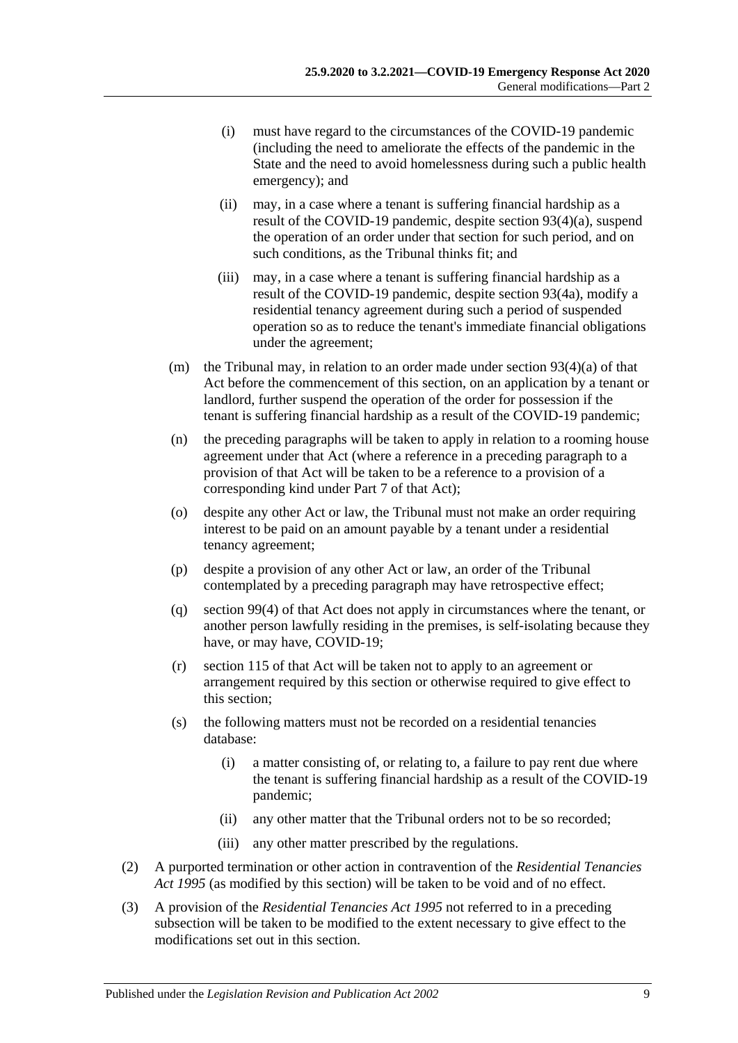- (i) must have regard to the circumstances of the COVID-19 pandemic (including the need to ameliorate the effects of the pandemic in the State and the need to avoid homelessness during such a public health emergency); and
- (ii) may, in a case where a tenant is suffering financial hardship as a result of the COVID-19 pandemic, despite section 93(4)(a), suspend the operation of an order under that section for such period, and on such conditions, as the Tribunal thinks fit; and
- (iii) may, in a case where a tenant is suffering financial hardship as a result of the COVID-19 pandemic, despite section 93(4a), modify a residential tenancy agreement during such a period of suspended operation so as to reduce the tenant's immediate financial obligations under the agreement;
- (m) the Tribunal may, in relation to an order made under section  $93(4)(a)$  of that Act before the commencement of this section, on an application by a tenant or landlord, further suspend the operation of the order for possession if the tenant is suffering financial hardship as a result of the COVID-19 pandemic;
- (n) the preceding paragraphs will be taken to apply in relation to a rooming house agreement under that Act (where a reference in a preceding paragraph to a provision of that Act will be taken to be a reference to a provision of a corresponding kind under Part 7 of that Act);
- (o) despite any other Act or law, the Tribunal must not make an order requiring interest to be paid on an amount payable by a tenant under a residential tenancy agreement;
- (p) despite a provision of any other Act or law, an order of the Tribunal contemplated by a preceding paragraph may have retrospective effect;
- (q) section 99(4) of that Act does not apply in circumstances where the tenant, or another person lawfully residing in the premises, is self-isolating because they have, or may have, COVID-19;
- (r) section 115 of that Act will be taken not to apply to an agreement or arrangement required by this section or otherwise required to give effect to this section;
- (s) the following matters must not be recorded on a residential tenancies database:
	- (i) a matter consisting of, or relating to, a failure to pay rent due where the tenant is suffering financial hardship as a result of the COVID-19 pandemic;
	- (ii) any other matter that the Tribunal orders not to be so recorded;
	- (iii) any other matter prescribed by the regulations.
- (2) A purported termination or other action in contravention of the *[Residential Tenancies](http://www.legislation.sa.gov.au/index.aspx?action=legref&type=act&legtitle=Residential%20Tenancies%20Act%201995)  Act [1995](http://www.legislation.sa.gov.au/index.aspx?action=legref&type=act&legtitle=Residential%20Tenancies%20Act%201995)* (as modified by this section) will be taken to be void and of no effect.
- (3) A provision of the *[Residential Tenancies Act](http://www.legislation.sa.gov.au/index.aspx?action=legref&type=act&legtitle=Residential%20Tenancies%20Act%201995) 1995* not referred to in a preceding subsection will be taken to be modified to the extent necessary to give effect to the modifications set out in this section.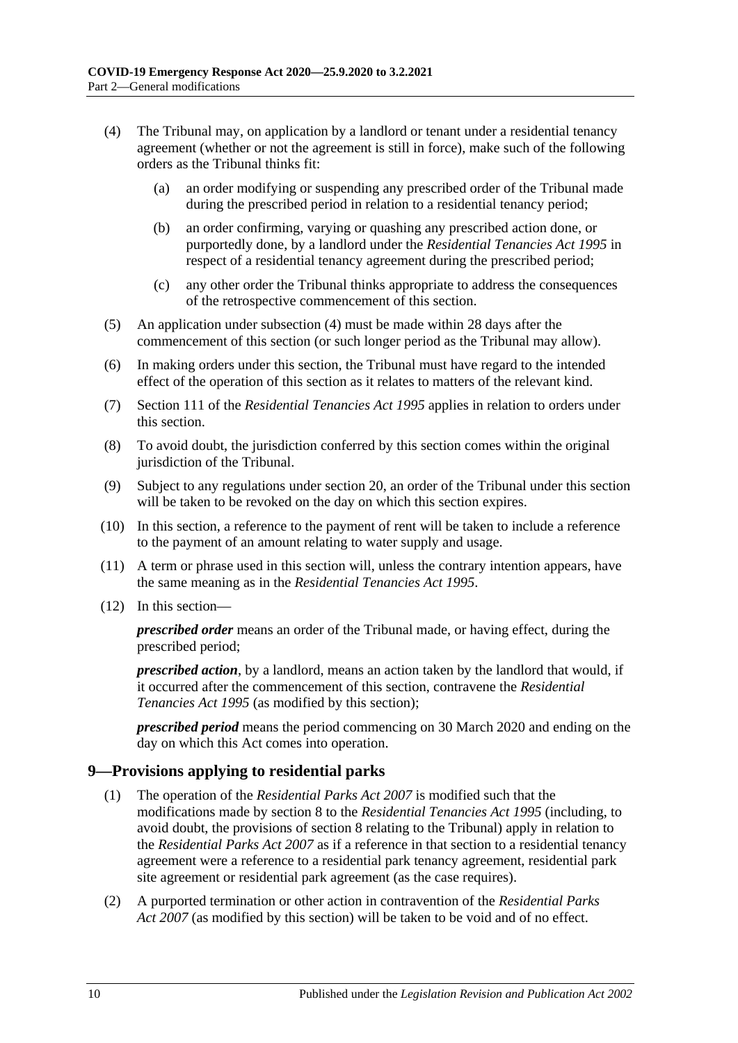- <span id="page-9-1"></span>(4) The Tribunal may, on application by a landlord or tenant under a residential tenancy agreement (whether or not the agreement is still in force), make such of the following orders as the Tribunal thinks fit:
	- (a) an order modifying or suspending any prescribed order of the Tribunal made during the prescribed period in relation to a residential tenancy period;
	- (b) an order confirming, varying or quashing any prescribed action done, or purportedly done, by a landlord under the *[Residential Tenancies Act](http://www.legislation.sa.gov.au/index.aspx?action=legref&type=act&legtitle=Residential%20Tenancies%20Act%201995) 1995* in respect of a residential tenancy agreement during the prescribed period;
	- (c) any other order the Tribunal thinks appropriate to address the consequences of the retrospective commencement of this section.
- (5) An application under [subsection](#page-9-1) (4) must be made within 28 days after the commencement of this section (or such longer period as the Tribunal may allow).
- (6) In making orders under this section, the Tribunal must have regard to the intended effect of the operation of this section as it relates to matters of the relevant kind.
- (7) Section 111 of the *[Residential Tenancies Act](http://www.legislation.sa.gov.au/index.aspx?action=legref&type=act&legtitle=Residential%20Tenancies%20Act%201995) 1995* applies in relation to orders under this section.
- (8) To avoid doubt, the jurisdiction conferred by this section comes within the original jurisdiction of the Tribunal.
- (9) Subject to any regulations under [section](#page-16-0) 20, an order of the Tribunal under this section will be taken to be revoked on the day on which this section expires.
- (10) In this section, a reference to the payment of rent will be taken to include a reference to the payment of an amount relating to water supply and usage.
- (11) A term or phrase used in this section will, unless the contrary intention appears, have the same meaning as in the *[Residential Tenancies Act](http://www.legislation.sa.gov.au/index.aspx?action=legref&type=act&legtitle=Residential%20Tenancies%20Act%201995) 1995*.
- (12) In this section—

*prescribed order* means an order of the Tribunal made, or having effect, during the prescribed period;

*prescribed action*, by a landlord, means an action taken by the landlord that would, if it occurred after the commencement of this section, contravene the *[Residential](http://www.legislation.sa.gov.au/index.aspx?action=legref&type=act&legtitle=Residential%20Tenancies%20Act%201995)  [Tenancies Act](http://www.legislation.sa.gov.au/index.aspx?action=legref&type=act&legtitle=Residential%20Tenancies%20Act%201995) 1995* (as modified by this section);

*prescribed period* means the period commencing on 30 March 2020 and ending on the day on which this Act comes into operation.

## <span id="page-9-0"></span>**9—Provisions applying to residential parks**

- (1) The operation of the *[Residential Parks Act](http://www.legislation.sa.gov.au/index.aspx?action=legref&type=act&legtitle=Residential%20Parks%20Act%202007) 2007* is modified such that the modifications made by [section](#page-6-0) 8 to the *[Residential Tenancies Act](http://www.legislation.sa.gov.au/index.aspx?action=legref&type=act&legtitle=Residential%20Tenancies%20Act%201995) 1995* (including, to avoid doubt, the provisions of [section](#page-6-0) 8 relating to the Tribunal) apply in relation to the *[Residential Parks Act](http://www.legislation.sa.gov.au/index.aspx?action=legref&type=act&legtitle=Residential%20Parks%20Act%202007) 2007* as if a reference in that section to a residential tenancy agreement were a reference to a residential park tenancy agreement, residential park site agreement or residential park agreement (as the case requires).
- (2) A purported termination or other action in contravention of the *[Residential Parks](http://www.legislation.sa.gov.au/index.aspx?action=legref&type=act&legtitle=Residential%20Parks%20Act%202007)  Act [2007](http://www.legislation.sa.gov.au/index.aspx?action=legref&type=act&legtitle=Residential%20Parks%20Act%202007)* (as modified by this section) will be taken to be void and of no effect.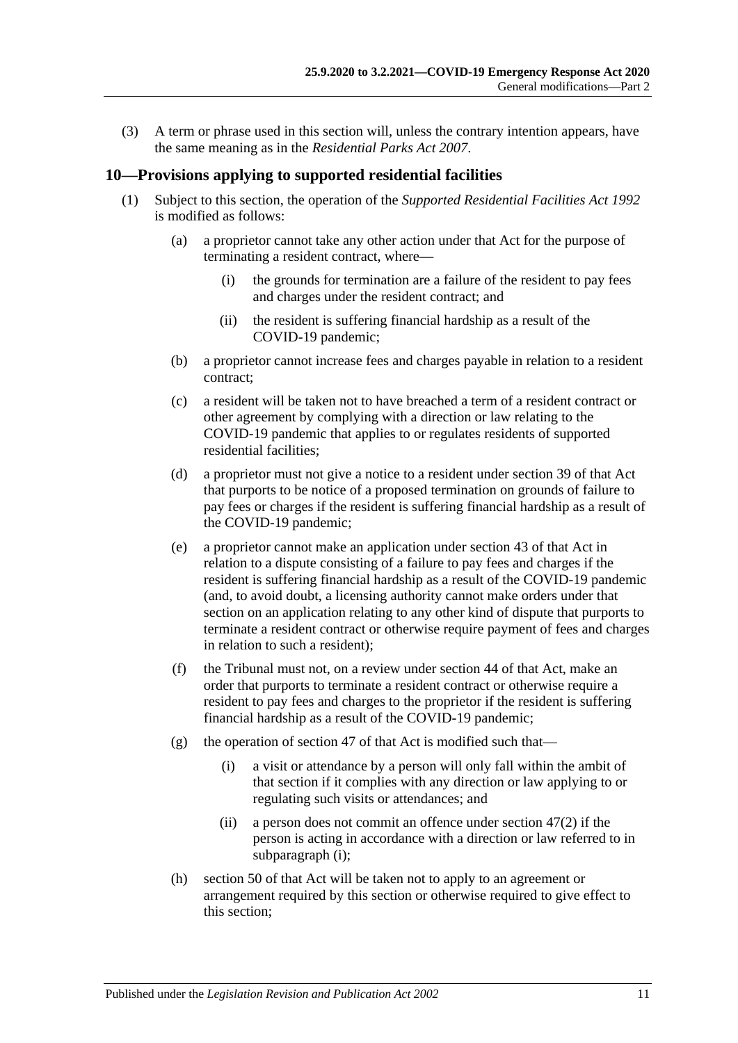(3) A term or phrase used in this section will, unless the contrary intention appears, have the same meaning as in the *[Residential Parks Act](http://www.legislation.sa.gov.au/index.aspx?action=legref&type=act&legtitle=Residential%20Parks%20Act%202007) 2007*.

#### <span id="page-10-0"></span>**10—Provisions applying to supported residential facilities**

- <span id="page-10-1"></span>(1) Subject to this section, the operation of the *[Supported Residential Facilities Act](http://www.legislation.sa.gov.au/index.aspx?action=legref&type=act&legtitle=Supported%20Residential%20Facilities%20Act%201992) 1992* is modified as follows:
	- (a) a proprietor cannot take any other action under that Act for the purpose of terminating a resident contract, where—
		- (i) the grounds for termination are a failure of the resident to pay fees and charges under the resident contract; and
		- (ii) the resident is suffering financial hardship as a result of the COVID-19 pandemic;
	- (b) a proprietor cannot increase fees and charges payable in relation to a resident contract;
	- (c) a resident will be taken not to have breached a term of a resident contract or other agreement by complying with a direction or law relating to the COVID-19 pandemic that applies to or regulates residents of supported residential facilities;
	- (d) a proprietor must not give a notice to a resident under section 39 of that Act that purports to be notice of a proposed termination on grounds of failure to pay fees or charges if the resident is suffering financial hardship as a result of the COVID-19 pandemic;
	- (e) a proprietor cannot make an application under section 43 of that Act in relation to a dispute consisting of a failure to pay fees and charges if the resident is suffering financial hardship as a result of the COVID-19 pandemic (and, to avoid doubt, a licensing authority cannot make orders under that section on an application relating to any other kind of dispute that purports to terminate a resident contract or otherwise require payment of fees and charges in relation to such a resident);
	- (f) the Tribunal must not, on a review under section 44 of that Act, make an order that purports to terminate a resident contract or otherwise require a resident to pay fees and charges to the proprietor if the resident is suffering financial hardship as a result of the COVID-19 pandemic;
	- (g) the operation of section 47 of that Act is modified such that—
		- (i) a visit or attendance by a person will only fall within the ambit of that section if it complies with any direction or law applying to or regulating such visits or attendances; and
		- (ii) a person does not commit an offence under section 47(2) if the person is acting in accordance with a direction or law referred to in [subparagraph](#page-10-1) (i);
	- (h) section 50 of that Act will be taken not to apply to an agreement or arrangement required by this section or otherwise required to give effect to this section;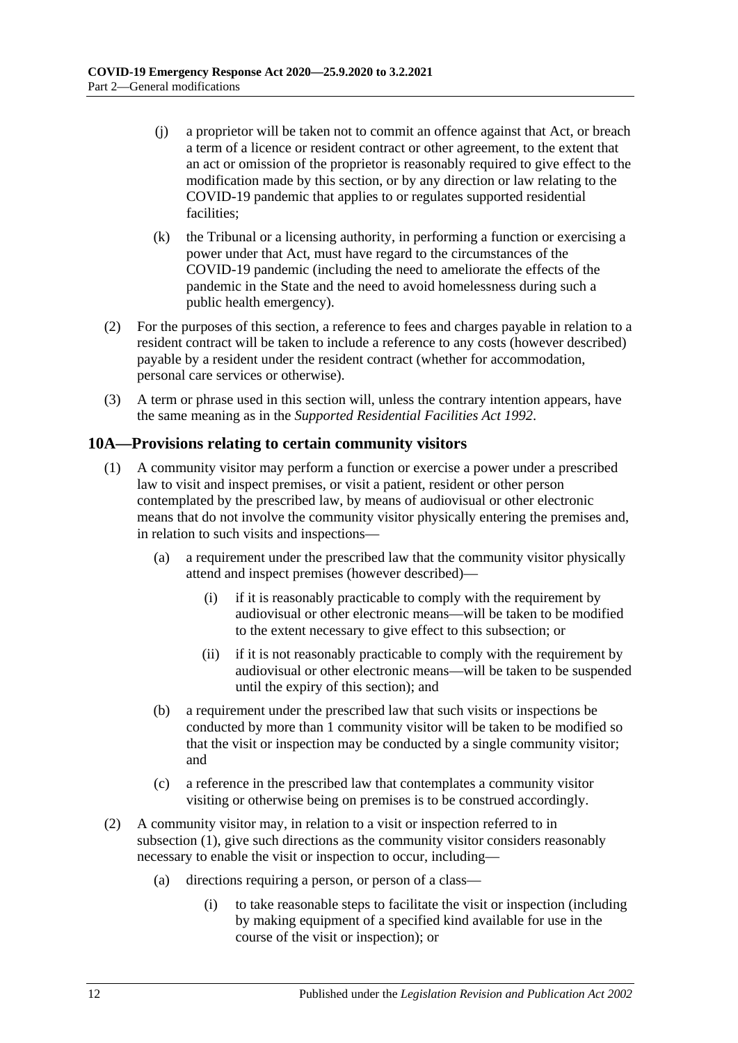- (j) a proprietor will be taken not to commit an offence against that Act, or breach a term of a licence or resident contract or other agreement, to the extent that an act or omission of the proprietor is reasonably required to give effect to the modification made by this section, or by any direction or law relating to the COVID-19 pandemic that applies to or regulates supported residential facilities;
- (k) the Tribunal or a licensing authority, in performing a function or exercising a power under that Act, must have regard to the circumstances of the COVID-19 pandemic (including the need to ameliorate the effects of the pandemic in the State and the need to avoid homelessness during such a public health emergency).
- (2) For the purposes of this section, a reference to fees and charges payable in relation to a resident contract will be taken to include a reference to any costs (however described) payable by a resident under the resident contract (whether for accommodation, personal care services or otherwise).
- (3) A term or phrase used in this section will, unless the contrary intention appears, have the same meaning as in the *[Supported Residential Facilities Act](http://www.legislation.sa.gov.au/index.aspx?action=legref&type=act&legtitle=Supported%20Residential%20Facilities%20Act%201992) 1992*.

### <span id="page-11-1"></span><span id="page-11-0"></span>**10A—Provisions relating to certain community visitors**

- (1) A community visitor may perform a function or exercise a power under a prescribed law to visit and inspect premises, or visit a patient, resident or other person contemplated by the prescribed law, by means of audiovisual or other electronic means that do not involve the community visitor physically entering the premises and, in relation to such visits and inspections—
	- (a) a requirement under the prescribed law that the community visitor physically attend and inspect premises (however described)—
		- (i) if it is reasonably practicable to comply with the requirement by audiovisual or other electronic means—will be taken to be modified to the extent necessary to give effect to this subsection; or
		- (ii) if it is not reasonably practicable to comply with the requirement by audiovisual or other electronic means—will be taken to be suspended until the expiry of this section); and
	- (b) a requirement under the prescribed law that such visits or inspections be conducted by more than 1 community visitor will be taken to be modified so that the visit or inspection may be conducted by a single community visitor; and
	- (c) a reference in the prescribed law that contemplates a community visitor visiting or otherwise being on premises is to be construed accordingly.
- <span id="page-11-2"></span>(2) A community visitor may, in relation to a visit or inspection referred to in [subsection](#page-11-1) (1), give such directions as the community visitor considers reasonably necessary to enable the visit or inspection to occur, including—
	- (a) directions requiring a person, or person of a class—
		- (i) to take reasonable steps to facilitate the visit or inspection (including by making equipment of a specified kind available for use in the course of the visit or inspection); or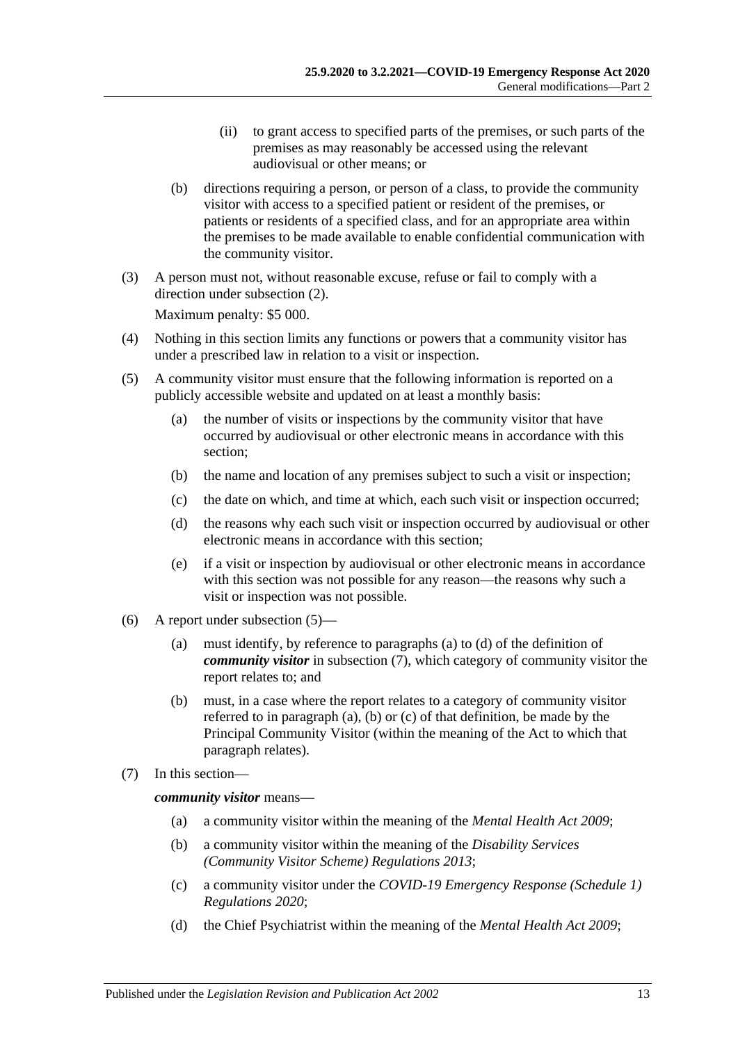- (ii) to grant access to specified parts of the premises, or such parts of the premises as may reasonably be accessed using the relevant audiovisual or other means; or
- (b) directions requiring a person, or person of a class, to provide the community visitor with access to a specified patient or resident of the premises, or patients or residents of a specified class, and for an appropriate area within the premises to be made available to enable confidential communication with the community visitor.
- (3) A person must not, without reasonable excuse, refuse or fail to comply with a direction under [subsection](#page-11-2) (2).

Maximum penalty: \$5 000.

- (4) Nothing in this section limits any functions or powers that a community visitor has under a prescribed law in relation to a visit or inspection.
- <span id="page-12-0"></span>(5) A community visitor must ensure that the following information is reported on a publicly accessible website and updated on at least a monthly basis:
	- (a) the number of visits or inspections by the community visitor that have occurred by audiovisual or other electronic means in accordance with this section;
	- (b) the name and location of any premises subject to such a visit or inspection;
	- (c) the date on which, and time at which, each such visit or inspection occurred;
	- (d) the reasons why each such visit or inspection occurred by audiovisual or other electronic means in accordance with this section;
	- (e) if a visit or inspection by audiovisual or other electronic means in accordance with this section was not possible for any reason—the reasons why such a visit or inspection was not possible.
- <span id="page-12-1"></span>(6) A report under [subsection](#page-12-0) (5)—
	- (a) must identify, by reference to [paragraphs](#page-12-2) (a) to [\(d\)](#page-12-3) of the definition of *community visitor* in [subsection](#page-12-4) (7), which category of community visitor the report relates to; and
	- (b) must, in a case where the report relates to a category of community visitor referred to in [paragraph](#page-12-2) (a), [\(b\)](#page-12-5) or [\(c\)](#page-12-6) of that definition, be made by the Principal Community Visitor (within the meaning of the Act to which that paragraph relates).
- <span id="page-12-4"></span><span id="page-12-2"></span>(7) In this section—

#### <span id="page-12-5"></span>*community visitor* means—

- (a) a community visitor within the meaning of the *[Mental Health Act](http://www.legislation.sa.gov.au/index.aspx?action=legref&type=act&legtitle=Mental%20Health%20Act%202009) 2009*;
- (b) a community visitor within the meaning of the *[Disability Services](http://www.legislation.sa.gov.au/index.aspx?action=legref&type=subordleg&legtitle=Disability%20Services%20(Community%20Visitor%20Scheme)%20Regulations%202013)  [\(Community Visitor Scheme\) Regulations](http://www.legislation.sa.gov.au/index.aspx?action=legref&type=subordleg&legtitle=Disability%20Services%20(Community%20Visitor%20Scheme)%20Regulations%202013) 2013*;
- <span id="page-12-6"></span>(c) a community visitor under the *[COVID-19 Emergency Response \(Schedule](http://www.legislation.sa.gov.au/index.aspx?action=legref&type=subordleg&legtitle=COVID-19%20Emergency%20Response%20(Schedule%201)%20Regulations%202020) 1) [Regulations](http://www.legislation.sa.gov.au/index.aspx?action=legref&type=subordleg&legtitle=COVID-19%20Emergency%20Response%20(Schedule%201)%20Regulations%202020) 2020*;
- <span id="page-12-3"></span>(d) the Chief Psychiatrist within the meaning of the *[Mental Health Act](http://www.legislation.sa.gov.au/index.aspx?action=legref&type=act&legtitle=Mental%20Health%20Act%202009) 2009*;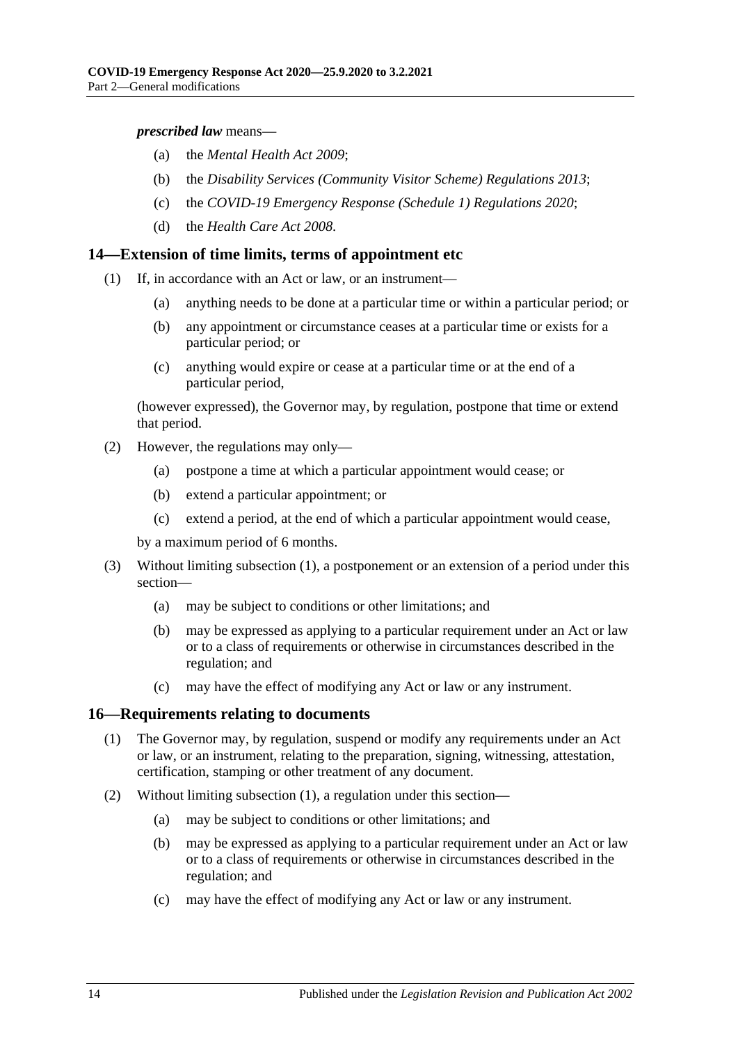#### *prescribed law* means—

- (a) the *[Mental Health Act 2009](http://www.legislation.sa.gov.au/index.aspx?action=legref&type=act&legtitle=Mental%20Health%20Act%202009)*;
- (b) the *[Disability Services \(Community Visitor Scheme\) Regulations](http://www.legislation.sa.gov.au/index.aspx?action=legref&type=subordleg&legtitle=Disability%20Services%20(Community%20Visitor%20Scheme)%20Regulations%202013) 2013*;
- (c) the *[COVID-19 Emergency Response \(Schedule 1\) Regulations](http://www.legislation.sa.gov.au/index.aspx?action=legref&type=subordleg&legtitle=COVID-19%20Emergency%20Response%20(Schedule%201)%20Regulations%202020) 2020*;
- (d) the *[Health Care Act](http://www.legislation.sa.gov.au/index.aspx?action=legref&type=act&legtitle=Health%20Care%20Act%202008) 2008*.

#### <span id="page-13-2"></span><span id="page-13-0"></span>**14—Extension of time limits, terms of appointment etc**

- (1) If, in accordance with an Act or law, or an instrument—
	- (a) anything needs to be done at a particular time or within a particular period; or
	- (b) any appointment or circumstance ceases at a particular time or exists for a particular period; or
	- (c) anything would expire or cease at a particular time or at the end of a particular period,

(however expressed), the Governor may, by regulation, postpone that time or extend that period.

- (2) However, the regulations may only—
	- (a) postpone a time at which a particular appointment would cease; or
	- (b) extend a particular appointment; or
	- (c) extend a period, at the end of which a particular appointment would cease,

by a maximum period of 6 months.

- (3) Without limiting [subsection](#page-13-2) (1), a postponement or an extension of a period under this section—
	- (a) may be subject to conditions or other limitations; and
	- (b) may be expressed as applying to a particular requirement under an Act or law or to a class of requirements or otherwise in circumstances described in the regulation; and
	- (c) may have the effect of modifying any Act or law or any instrument.

#### <span id="page-13-3"></span><span id="page-13-1"></span>**16—Requirements relating to documents**

- (1) The Governor may, by regulation, suspend or modify any requirements under an Act or law, or an instrument, relating to the preparation, signing, witnessing, attestation, certification, stamping or other treatment of any document.
- (2) Without limiting [subsection](#page-13-3) (1), a regulation under this section—
	- (a) may be subject to conditions or other limitations; and
	- (b) may be expressed as applying to a particular requirement under an Act or law or to a class of requirements or otherwise in circumstances described in the regulation; and
	- (c) may have the effect of modifying any Act or law or any instrument.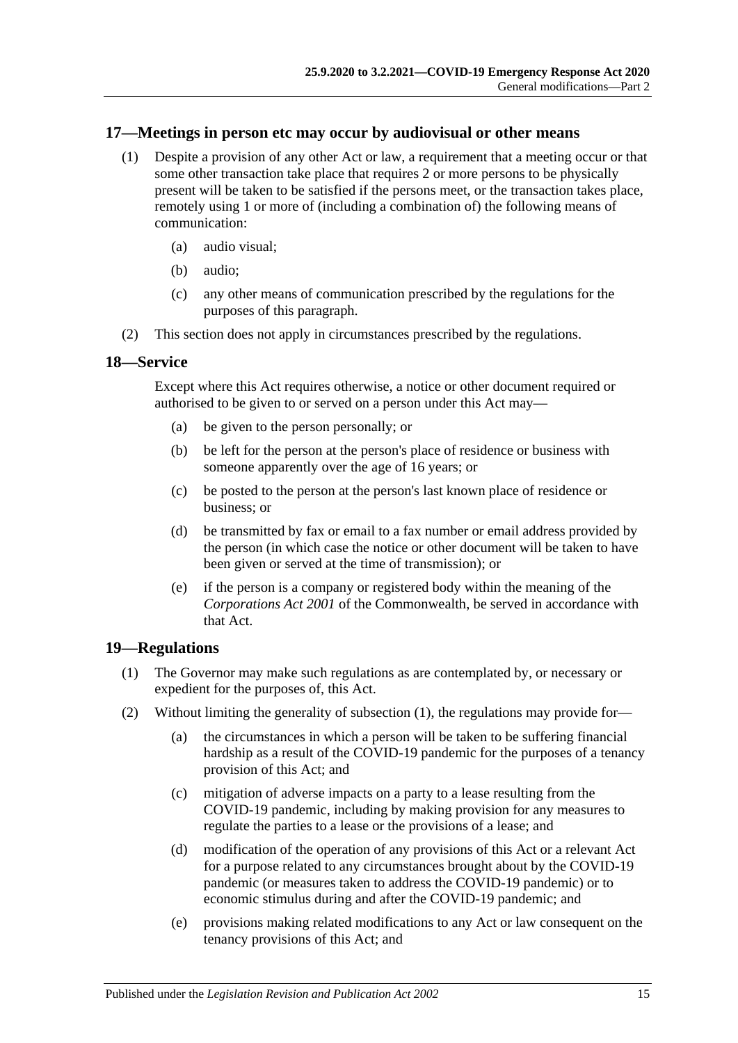#### <span id="page-14-0"></span>**17—Meetings in person etc may occur by audiovisual or other means**

- (1) Despite a provision of any other Act or law, a requirement that a meeting occur or that some other transaction take place that requires 2 or more persons to be physically present will be taken to be satisfied if the persons meet, or the transaction takes place, remotely using 1 or more of (including a combination of) the following means of communication:
	- (a) audio visual;
	- (b) audio;
	- (c) any other means of communication prescribed by the regulations for the purposes of this paragraph.
- (2) This section does not apply in circumstances prescribed by the regulations.

#### <span id="page-14-1"></span>**18—Service**

Except where this Act requires otherwise, a notice or other document required or authorised to be given to or served on a person under this Act may—

- (a) be given to the person personally; or
- (b) be left for the person at the person's place of residence or business with someone apparently over the age of 16 years; or
- (c) be posted to the person at the person's last known place of residence or business; or
- (d) be transmitted by fax or email to a fax number or email address provided by the person (in which case the notice or other document will be taken to have been given or served at the time of transmission); or
- (e) if the person is a company or registered body within the meaning of the *Corporations Act 2001* of the Commonwealth, be served in accordance with that Act.

#### <span id="page-14-3"></span><span id="page-14-2"></span>**19—Regulations**

- (1) The Governor may make such regulations as are contemplated by, or necessary or expedient for the purposes of, this Act.
- (2) Without limiting the generality of [subsection](#page-14-3) (1), the regulations may provide for—
	- (a) the circumstances in which a person will be taken to be suffering financial hardship as a result of the COVID-19 pandemic for the purposes of a tenancy provision of this Act; and
	- (c) mitigation of adverse impacts on a party to a lease resulting from the COVID-19 pandemic, including by making provision for any measures to regulate the parties to a lease or the provisions of a lease; and
	- (d) modification of the operation of any provisions of this Act or a relevant Act for a purpose related to any circumstances brought about by the COVID-19 pandemic (or measures taken to address the COVID-19 pandemic) or to economic stimulus during and after the COVID-19 pandemic; and
	- (e) provisions making related modifications to any Act or law consequent on the tenancy provisions of this Act; and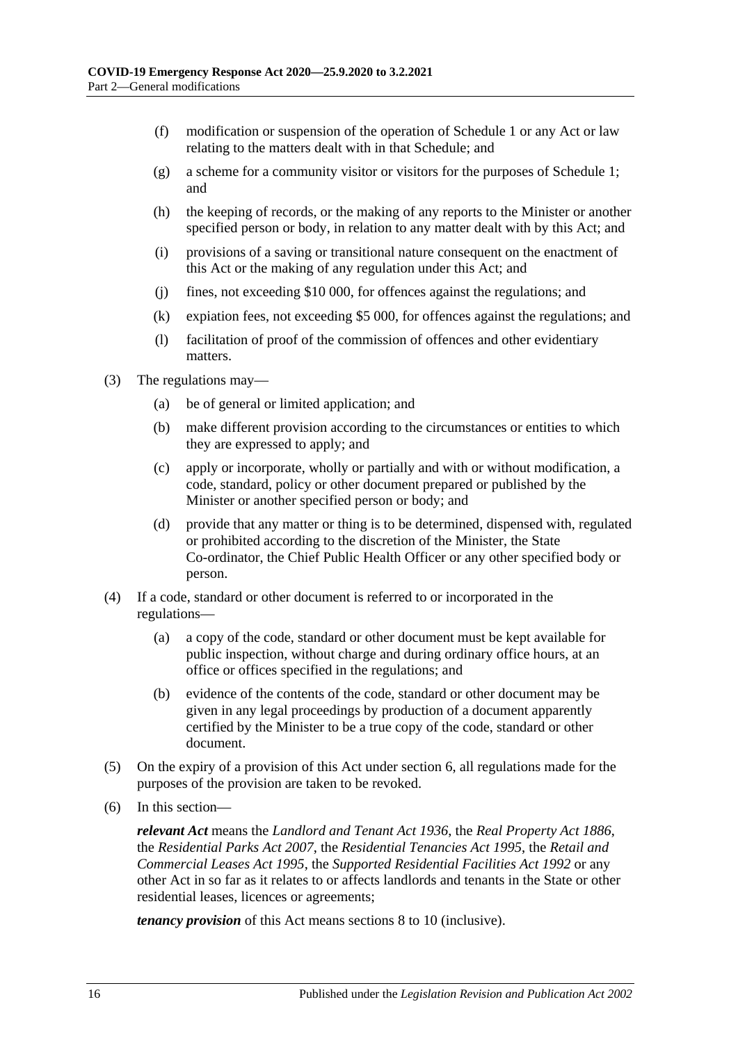- (f) modification or suspension of the operation of [Schedule](#page-17-2) 1 or any Act or law relating to the matters dealt with in that Schedule; and
- (g) a scheme for a community visitor or visitors for the purposes of [Schedule](#page-17-2) 1; and
- (h) the keeping of records, or the making of any reports to the Minister or another specified person or body, in relation to any matter dealt with by this Act; and
- (i) provisions of a saving or transitional nature consequent on the enactment of this Act or the making of any regulation under this Act; and
- (j) fines, not exceeding \$10 000, for offences against the regulations; and
- (k) expiation fees, not exceeding \$5 000, for offences against the regulations; and
- (l) facilitation of proof of the commission of offences and other evidentiary matters.
- (3) The regulations may—
	- (a) be of general or limited application; and
	- (b) make different provision according to the circumstances or entities to which they are expressed to apply; and
	- (c) apply or incorporate, wholly or partially and with or without modification, a code, standard, policy or other document prepared or published by the Minister or another specified person or body; and
	- (d) provide that any matter or thing is to be determined, dispensed with, regulated or prohibited according to the discretion of the Minister, the State Co-ordinator, the Chief Public Health Officer or any other specified body or person.
- (4) If a code, standard or other document is referred to or incorporated in the regulations—
	- (a) a copy of the code, standard or other document must be kept available for public inspection, without charge and during ordinary office hours, at an office or offices specified in the regulations; and
	- (b) evidence of the contents of the code, standard or other document may be given in any legal proceedings by production of a document apparently certified by the Minister to be a true copy of the code, standard or other document.
- <span id="page-15-0"></span>(5) On the expiry of a provision of this Act under [section](#page-2-6) 6, all regulations made for the purposes of the provision are taken to be revoked.
- (6) In this section—

*relevant Act* means the *[Landlord and Tenant Act](http://www.legislation.sa.gov.au/index.aspx?action=legref&type=act&legtitle=Landlord%20and%20Tenant%20Act%201936) 1936*, the *[Real Property Act](http://www.legislation.sa.gov.au/index.aspx?action=legref&type=act&legtitle=Real%20Property%20Act%201886) 1886*, the *[Residential Parks Act](http://www.legislation.sa.gov.au/index.aspx?action=legref&type=act&legtitle=Residential%20Parks%20Act%202007) 2007*, the *[Residential Tenancies Act](http://www.legislation.sa.gov.au/index.aspx?action=legref&type=act&legtitle=Residential%20Tenancies%20Act%201995) 1995*, the *[Retail and](http://www.legislation.sa.gov.au/index.aspx?action=legref&type=act&legtitle=Retail%20and%20Commercial%20Leases%20Act%201995)  [Commercial Leases Act](http://www.legislation.sa.gov.au/index.aspx?action=legref&type=act&legtitle=Retail%20and%20Commercial%20Leases%20Act%201995) 1995*, the *[Supported Residential Facilities Act](http://www.legislation.sa.gov.au/index.aspx?action=legref&type=act&legtitle=Supported%20Residential%20Facilities%20Act%201992) 1992* or any other Act in so far as it relates to or affects landlords and tenants in the State or other residential leases, licences or agreements;

*tenancy provision* of this Act means sections 8 to [10](#page-10-0) (inclusive).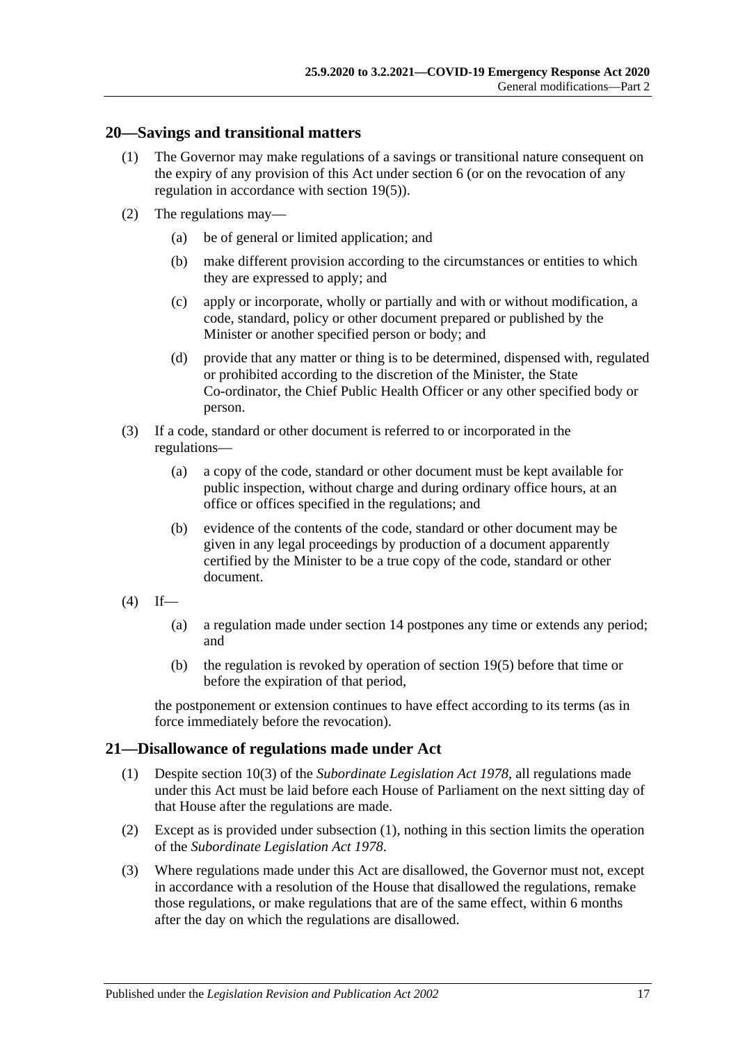#### <span id="page-16-0"></span>**20—Savings and transitional matters**

- (1) The Governor may make regulations of a savings or transitional nature consequent on the expiry of any provision of this Act under [section](#page-2-6) 6 (or on the revocation of any regulation in accordance with [section](#page-15-0) 19(5)).
- (2) The regulations may—
	- (a) be of general or limited application; and
	- (b) make different provision according to the circumstances or entities to which they are expressed to apply; and
	- (c) apply or incorporate, wholly or partially and with or without modification, a code, standard, policy or other document prepared or published by the Minister or another specified person or body; and
	- (d) provide that any matter or thing is to be determined, dispensed with, regulated or prohibited according to the discretion of the Minister, the State Co-ordinator, the Chief Public Health Officer or any other specified body or person.
- (3) If a code, standard or other document is referred to or incorporated in the regulations—
	- (a) a copy of the code, standard or other document must be kept available for public inspection, without charge and during ordinary office hours, at an office or offices specified in the regulations; and
	- (b) evidence of the contents of the code, standard or other document may be given in any legal proceedings by production of a document apparently certified by the Minister to be a true copy of the code, standard or other document.
- $(4)$  If—
	- (a) a regulation made under [section](#page-13-0) 14 postpones any time or extends any period; and
	- (b) the regulation is revoked by operation of [section](#page-15-0) 19(5) before that time or before the expiration of that period,

the postponement or extension continues to have effect according to its terms (as in force immediately before the revocation).

#### <span id="page-16-2"></span><span id="page-16-1"></span>**21—Disallowance of regulations made under Act**

- (1) Despite section 10(3) of the *[Subordinate Legislation Act](http://www.legislation.sa.gov.au/index.aspx?action=legref&type=act&legtitle=Subordinate%20Legislation%20Act%201978) 1978*, all regulations made under this Act must be laid before each House of Parliament on the next sitting day of that House after the regulations are made.
- (2) Except as is provided under [subsection](#page-16-2) (1), nothing in this section limits the operation of the *[Subordinate Legislation Act](http://www.legislation.sa.gov.au/index.aspx?action=legref&type=act&legtitle=Subordinate%20Legislation%20Act%201978) 1978*.
- (3) Where regulations made under this Act are disallowed, the Governor must not, except in accordance with a resolution of the House that disallowed the regulations, remake those regulations, or make regulations that are of the same effect, within 6 months after the day on which the regulations are disallowed.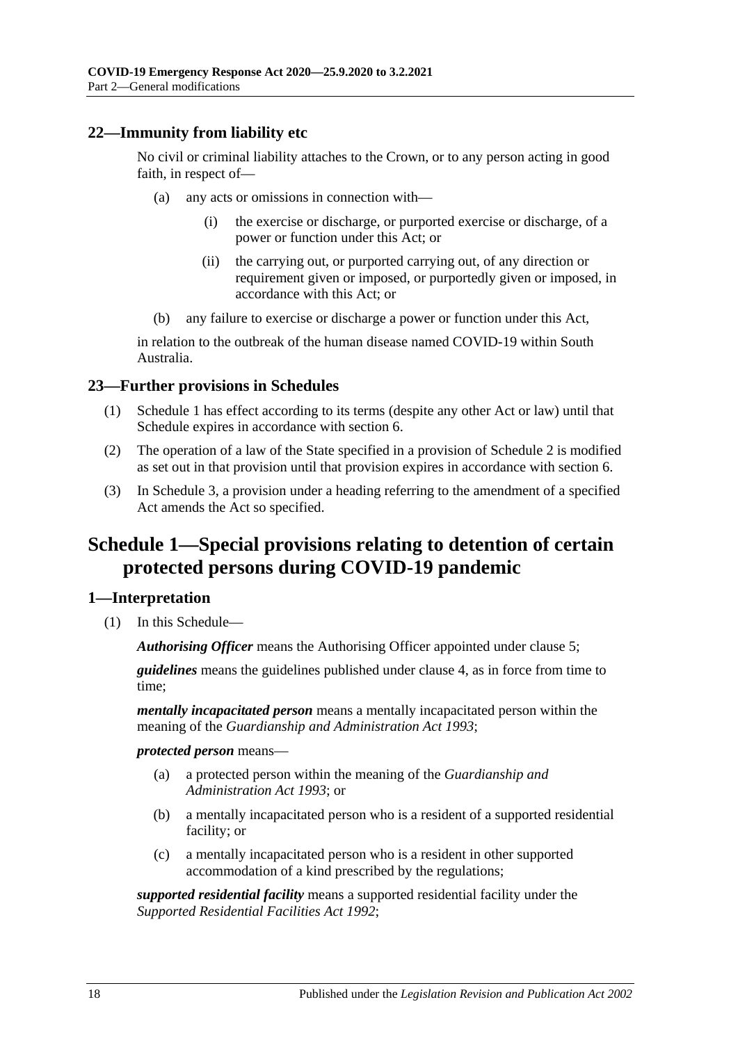### <span id="page-17-0"></span>**22—Immunity from liability etc**

No civil or criminal liability attaches to the Crown, or to any person acting in good faith, in respect of—

- (a) any acts or omissions in connection with—
	- (i) the exercise or discharge, or purported exercise or discharge, of a power or function under this Act; or
	- (ii) the carrying out, or purported carrying out, of any direction or requirement given or imposed, or purportedly given or imposed, in accordance with this Act; or
- (b) any failure to exercise or discharge a power or function under this Act,

in relation to the outbreak of the human disease named COVID-19 within South Australia.

### <span id="page-17-1"></span>**23—Further provisions in Schedules**

- (1) [Schedule](#page-17-2) 1 has effect according to its terms (despite any other Act or law) until that Schedule expires in accordance with [section](#page-2-6) 6.
- (2) The operation of a law of the State specified in a provision of [Schedule](#page-26-0) 2 is modified as set out in that provision until that provision expires in accordance with [section](#page-2-6) 6.
- (3) In Schedule 3, a provision under a heading referring to the amendment of a specified Act amends the Act so specified.

## <span id="page-17-2"></span>**Schedule 1—Special provisions relating to detention of certain protected persons during COVID-19 pandemic**

### <span id="page-17-3"></span>**1—Interpretation**

(1) In this Schedule—

*Authorising Officer* means the Authorising Officer appointed under [clause](#page-19-0) 5;

*guidelines* means the guidelines published under [clause](#page-18-2) 4, as in force from time to time;

*mentally incapacitated person* means a mentally incapacitated person within the meaning of the *[Guardianship and Administration Act](http://www.legislation.sa.gov.au/index.aspx?action=legref&type=act&legtitle=Guardianship%20and%20Administration%20Act%201993) 1993*;

#### *protected person* means—

- (a) a protected person within the meaning of the *[Guardianship and](http://www.legislation.sa.gov.au/index.aspx?action=legref&type=act&legtitle=Guardianship%20and%20Administration%20Act%201993)  [Administration Act](http://www.legislation.sa.gov.au/index.aspx?action=legref&type=act&legtitle=Guardianship%20and%20Administration%20Act%201993) 1993*; or
- (b) a mentally incapacitated person who is a resident of a supported residential facility; or
- (c) a mentally incapacitated person who is a resident in other supported accommodation of a kind prescribed by the regulations;

*supported residential facility* means a supported residential facility under the *[Supported Residential Facilities Act](http://www.legislation.sa.gov.au/index.aspx?action=legref&type=act&legtitle=Supported%20Residential%20Facilities%20Act%201992) 1992*;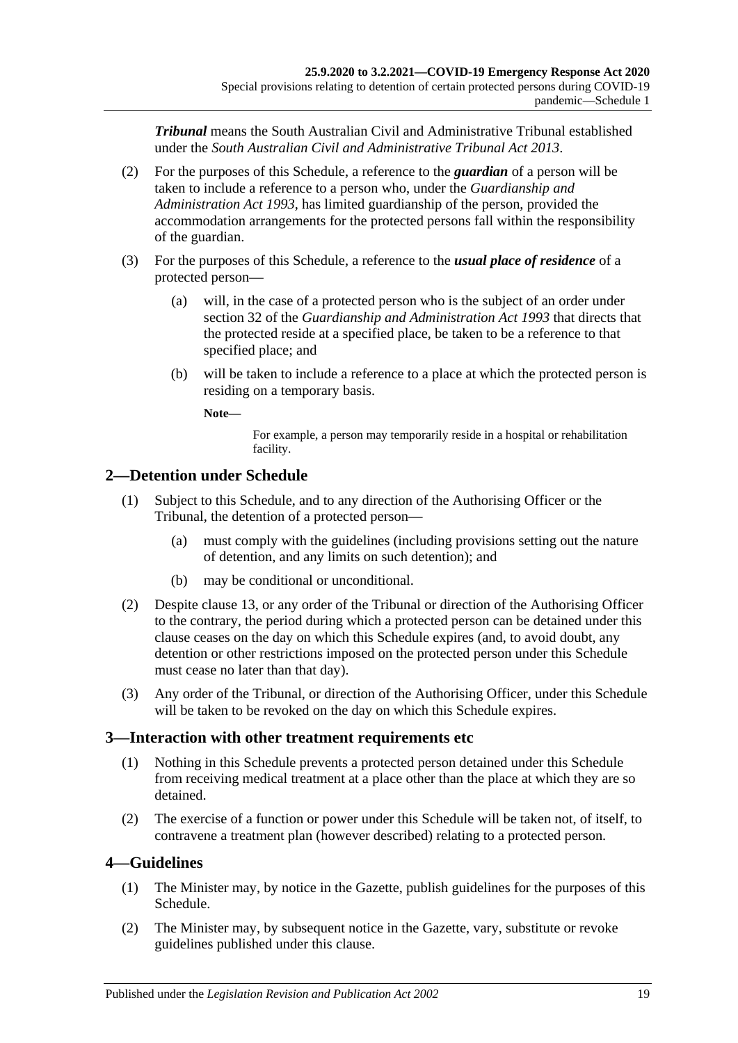*Tribunal* means the South Australian Civil and Administrative Tribunal established under the *[South Australian Civil and Administrative Tribunal Act](http://www.legislation.sa.gov.au/index.aspx?action=legref&type=act&legtitle=South%20Australian%20Civil%20and%20Administrative%20Tribunal%20Act%202013) 2013*.

- (2) For the purposes of this Schedule, a reference to the *guardian* of a person will be taken to include a reference to a person who, under the *[Guardianship and](http://www.legislation.sa.gov.au/index.aspx?action=legref&type=act&legtitle=Guardianship%20and%20Administration%20Act%201993)  [Administration Act](http://www.legislation.sa.gov.au/index.aspx?action=legref&type=act&legtitle=Guardianship%20and%20Administration%20Act%201993) 1993*, has limited guardianship of the person, provided the accommodation arrangements for the protected persons fall within the responsibility of the guardian.
- (3) For the purposes of this Schedule, a reference to the *usual place of residence* of a protected person—
	- (a) will, in the case of a protected person who is the subject of an order under section 32 of the *[Guardianship and Administration Act](http://www.legislation.sa.gov.au/index.aspx?action=legref&type=act&legtitle=Guardianship%20and%20Administration%20Act%201993) 1993* that directs that the protected reside at a specified place, be taken to be a reference to that specified place; and
	- (b) will be taken to include a reference to a place at which the protected person is residing on a temporary basis.

**Note—**

For example, a person may temporarily reside in a hospital or rehabilitation facility.

### <span id="page-18-0"></span>**2—Detention under Schedule**

- (1) Subject to this Schedule, and to any direction of the Authorising Officer or the Tribunal, the detention of a protected person—
	- (a) must comply with the guidelines (including provisions setting out the nature of detention, and any limits on such detention); and
	- (b) may be conditional or unconditional.
- (2) Despite [clause](#page-23-1) 13, or any order of the Tribunal or direction of the Authorising Officer to the contrary, the period during which a protected person can be detained under this clause ceases on the day on which this Schedule expires (and, to avoid doubt, any detention or other restrictions imposed on the protected person under this Schedule must cease no later than that day).
- (3) Any order of the Tribunal, or direction of the Authorising Officer, under this Schedule will be taken to be revoked on the day on which this Schedule expires.

### <span id="page-18-1"></span>**3—Interaction with other treatment requirements etc**

- (1) Nothing in this Schedule prevents a protected person detained under this Schedule from receiving medical treatment at a place other than the place at which they are so detained.
- (2) The exercise of a function or power under this Schedule will be taken not, of itself, to contravene a treatment plan (however described) relating to a protected person.

### <span id="page-18-2"></span>**4—Guidelines**

- (1) The Minister may, by notice in the Gazette, publish guidelines for the purposes of this Schedule.
- (2) The Minister may, by subsequent notice in the Gazette, vary, substitute or revoke guidelines published under this clause.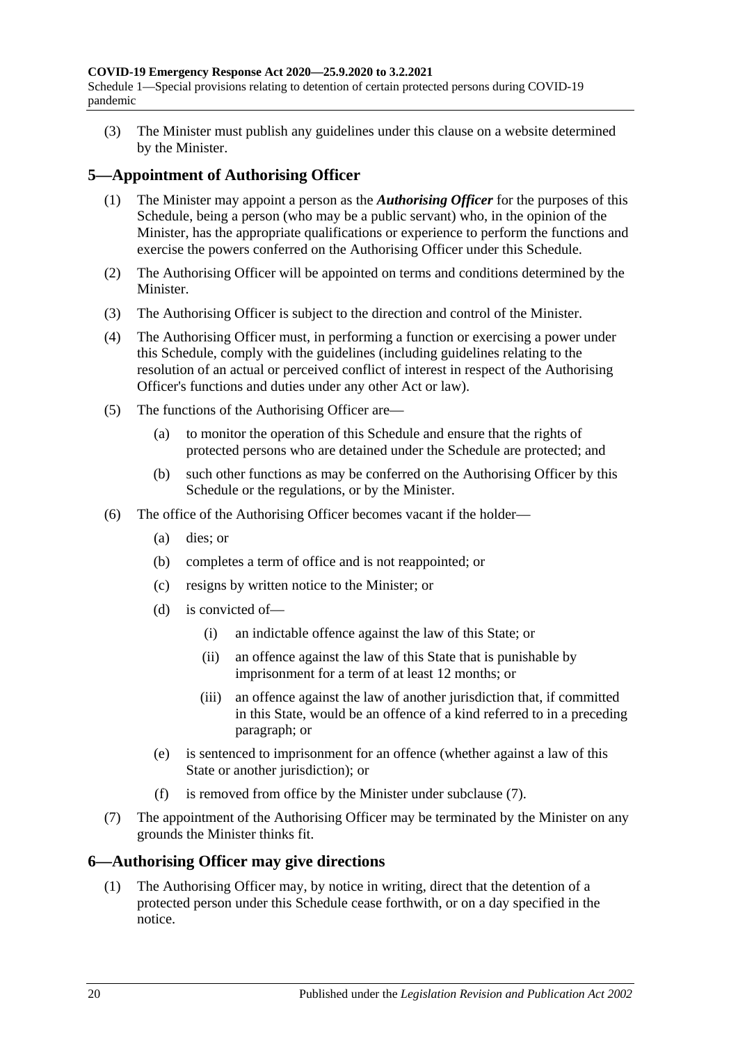#### **COVID-19 Emergency Response Act 2020—25.9.2020 to 3.2.2021**

Schedule 1—Special provisions relating to detention of certain protected persons during COVID-19 pandemic

(3) The Minister must publish any guidelines under this clause on a website determined by the Minister.

#### <span id="page-19-0"></span>**5—Appointment of Authorising Officer**

- (1) The Minister may appoint a person as the *Authorising Officer* for the purposes of this Schedule, being a person (who may be a public servant) who, in the opinion of the Minister, has the appropriate qualifications or experience to perform the functions and exercise the powers conferred on the Authorising Officer under this Schedule.
- (2) The Authorising Officer will be appointed on terms and conditions determined by the Minister.
- (3) The Authorising Officer is subject to the direction and control of the Minister.
- (4) The Authorising Officer must, in performing a function or exercising a power under this Schedule, comply with the guidelines (including guidelines relating to the resolution of an actual or perceived conflict of interest in respect of the Authorising Officer's functions and duties under any other Act or law).
- (5) The functions of the Authorising Officer are—
	- (a) to monitor the operation of this Schedule and ensure that the rights of protected persons who are detained under the Schedule are protected; and
	- (b) such other functions as may be conferred on the Authorising Officer by this Schedule or the regulations, or by the Minister.
- (6) The office of the Authorising Officer becomes vacant if the holder—
	- (a) dies; or
	- (b) completes a term of office and is not reappointed; or
	- (c) resigns by written notice to the Minister; or
	- (d) is convicted of—
		- (i) an indictable offence against the law of this State; or
		- (ii) an offence against the law of this State that is punishable by imprisonment for a term of at least 12 months; or
		- (iii) an offence against the law of another jurisdiction that, if committed in this State, would be an offence of a kind referred to in a preceding paragraph; or
	- (e) is sentenced to imprisonment for an offence (whether against a law of this State or another jurisdiction); or
	- (f) is removed from office by the Minister under [subclause](#page-19-2) (7).
- <span id="page-19-2"></span>(7) The appointment of the Authorising Officer may be terminated by the Minister on any grounds the Minister thinks fit.

#### <span id="page-19-3"></span><span id="page-19-1"></span>**6—Authorising Officer may give directions**

(1) The Authorising Officer may, by notice in writing, direct that the detention of a protected person under this Schedule cease forthwith, or on a day specified in the notice.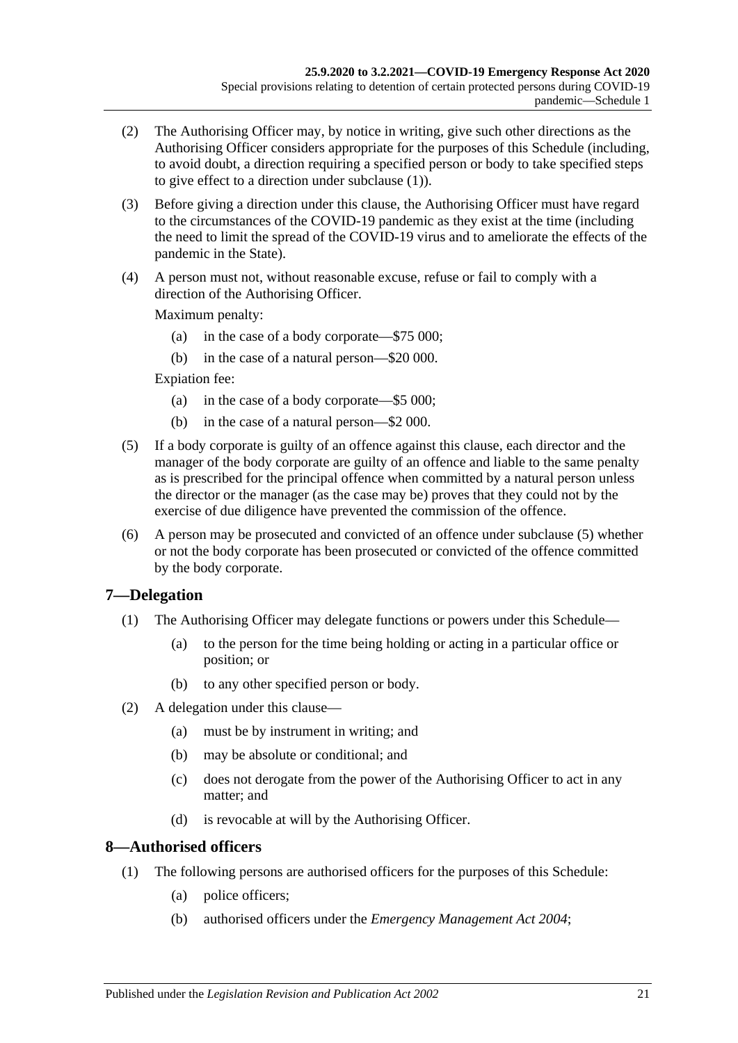- (2) The Authorising Officer may, by notice in writing, give such other directions as the Authorising Officer considers appropriate for the purposes of this Schedule (including, to avoid doubt, a direction requiring a specified person or body to take specified steps to give effect to a direction under [subclause](#page-19-3) (1)).
- (3) Before giving a direction under this clause, the Authorising Officer must have regard to the circumstances of the COVID-19 pandemic as they exist at the time (including the need to limit the spread of the COVID-19 virus and to ameliorate the effects of the pandemic in the State).
- (4) A person must not, without reasonable excuse, refuse or fail to comply with a direction of the Authorising Officer.

Maximum penalty:

- (a) in the case of a body corporate—\$75 000;
- (b) in the case of a natural person—\$20 000.

Expiation fee:

- (a) in the case of a body corporate—\$5 000;
- (b) in the case of a natural person—\$2 000.
- <span id="page-20-2"></span>(5) If a body corporate is guilty of an offence against this clause, each director and the manager of the body corporate are guilty of an offence and liable to the same penalty as is prescribed for the principal offence when committed by a natural person unless the director or the manager (as the case may be) proves that they could not by the exercise of due diligence have prevented the commission of the offence.
- (6) A person may be prosecuted and convicted of an offence under [subclause](#page-20-2) (5) whether or not the body corporate has been prosecuted or convicted of the offence committed by the body corporate.

### <span id="page-20-0"></span>**7—Delegation**

- (1) The Authorising Officer may delegate functions or powers under this Schedule—
	- (a) to the person for the time being holding or acting in a particular office or position; or
	- (b) to any other specified person or body.
- (2) A delegation under this clause—
	- (a) must be by instrument in writing; and
	- (b) may be absolute or conditional; and
	- (c) does not derogate from the power of the Authorising Officer to act in any matter; and
	- (d) is revocable at will by the Authorising Officer.

#### <span id="page-20-1"></span>**8—Authorised officers**

- (1) The following persons are authorised officers for the purposes of this Schedule:
	- (a) police officers;
	- (b) authorised officers under the *[Emergency Management Act](http://www.legislation.sa.gov.au/index.aspx?action=legref&type=act&legtitle=Emergency%20Management%20Act%202004) 2004*;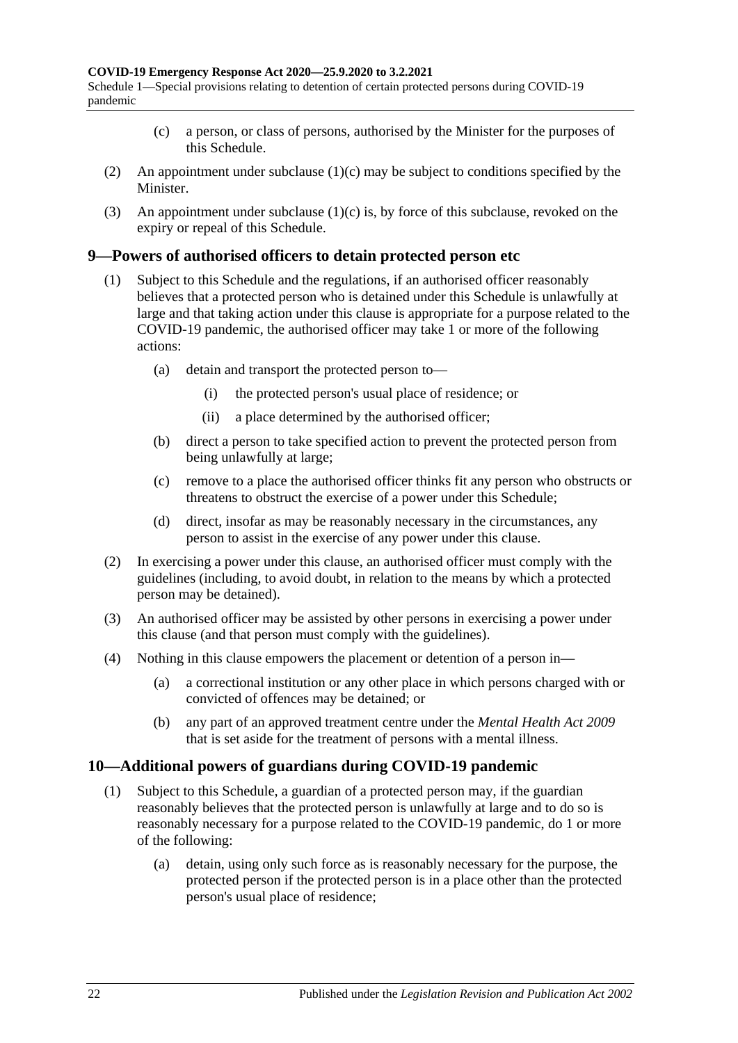<span id="page-21-2"></span>Schedule 1—Special provisions relating to detention of certain protected persons during COVID-19 pandemic

- (c) a person, or class of persons, authorised by the Minister for the purposes of this Schedule.
- (2) An appointment under [subclause](#page-21-2)  $(1)(c)$  may be subject to conditions specified by the Minister.
- (3) An appointment under [subclause](#page-21-2)  $(1)(c)$  is, by force of this subclause, revoked on the expiry or repeal of this Schedule.

#### <span id="page-21-0"></span>**9—Powers of authorised officers to detain protected person etc**

- (1) Subject to this Schedule and the regulations, if an authorised officer reasonably believes that a protected person who is detained under this Schedule is unlawfully at large and that taking action under this clause is appropriate for a purpose related to the COVID-19 pandemic, the authorised officer may take 1 or more of the following actions:
	- (a) detain and transport the protected person to—
		- (i) the protected person's usual place of residence; or
		- (ii) a place determined by the authorised officer;
	- (b) direct a person to take specified action to prevent the protected person from being unlawfully at large;
	- (c) remove to a place the authorised officer thinks fit any person who obstructs or threatens to obstruct the exercise of a power under this Schedule;
	- (d) direct, insofar as may be reasonably necessary in the circumstances, any person to assist in the exercise of any power under this clause.
- (2) In exercising a power under this clause, an authorised officer must comply with the guidelines (including, to avoid doubt, in relation to the means by which a protected person may be detained).
- (3) An authorised officer may be assisted by other persons in exercising a power under this clause (and that person must comply with the guidelines).
- (4) Nothing in this clause empowers the placement or detention of a person in—
	- (a) a correctional institution or any other place in which persons charged with or convicted of offences may be detained; or
	- (b) any part of an approved treatment centre under the *[Mental Health Act](http://www.legislation.sa.gov.au/index.aspx?action=legref&type=act&legtitle=Mental%20Health%20Act%202009) 2009* that is set aside for the treatment of persons with a mental illness.

#### <span id="page-21-1"></span>**10—Additional powers of guardians during COVID-19 pandemic**

- (1) Subject to this Schedule, a guardian of a protected person may, if the guardian reasonably believes that the protected person is unlawfully at large and to do so is reasonably necessary for a purpose related to the COVID-19 pandemic, do 1 or more of the following:
	- (a) detain, using only such force as is reasonably necessary for the purpose, the protected person if the protected person is in a place other than the protected person's usual place of residence;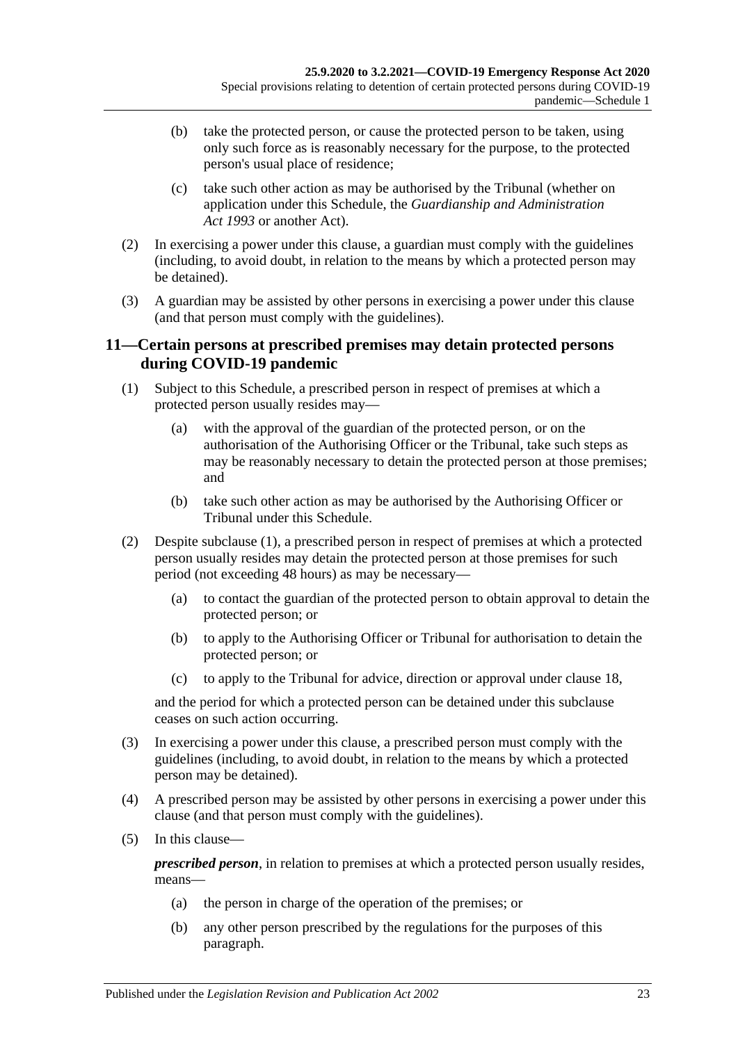- (b) take the protected person, or cause the protected person to be taken, using only such force as is reasonably necessary for the purpose, to the protected person's usual place of residence;
- (c) take such other action as may be authorised by the Tribunal (whether on application under this Schedule, the *[Guardianship and Administration](http://www.legislation.sa.gov.au/index.aspx?action=legref&type=act&legtitle=Guardianship%20and%20Administration%20Act%201993)  Act [1993](http://www.legislation.sa.gov.au/index.aspx?action=legref&type=act&legtitle=Guardianship%20and%20Administration%20Act%201993)* or another Act).
- (2) In exercising a power under this clause, a guardian must comply with the guidelines (including, to avoid doubt, in relation to the means by which a protected person may be detained).
- (3) A guardian may be assisted by other persons in exercising a power under this clause (and that person must comply with the guidelines).

### <span id="page-22-0"></span>**11—Certain persons at prescribed premises may detain protected persons during COVID-19 pandemic**

- <span id="page-22-2"></span><span id="page-22-1"></span>(1) Subject to this Schedule, a prescribed person in respect of premises at which a protected person usually resides may—
	- (a) with the approval of the guardian of the protected person, or on the authorisation of the Authorising Officer or the Tribunal, take such steps as may be reasonably necessary to detain the protected person at those premises; and
	- (b) take such other action as may be authorised by the Authorising Officer or Tribunal under this Schedule.
- (2) Despite [subclause](#page-22-1) (1), a prescribed person in respect of premises at which a protected person usually resides may detain the protected person at those premises for such period (not exceeding 48 hours) as may be necessary—
	- (a) to contact the guardian of the protected person to obtain approval to detain the protected person; or
	- (b) to apply to the Authorising Officer or Tribunal for authorisation to detain the protected person; or
	- (c) to apply to the Tribunal for advice, direction or approval under [clause](#page-25-0) 18,

and the period for which a protected person can be detained under this subclause ceases on such action occurring.

- (3) In exercising a power under this clause, a prescribed person must comply with the guidelines (including, to avoid doubt, in relation to the means by which a protected person may be detained).
- (4) A prescribed person may be assisted by other persons in exercising a power under this clause (and that person must comply with the guidelines).
- (5) In this clause—

*prescribed person*, in relation to premises at which a protected person usually resides, means—

- (a) the person in charge of the operation of the premises; or
- (b) any other person prescribed by the regulations for the purposes of this paragraph.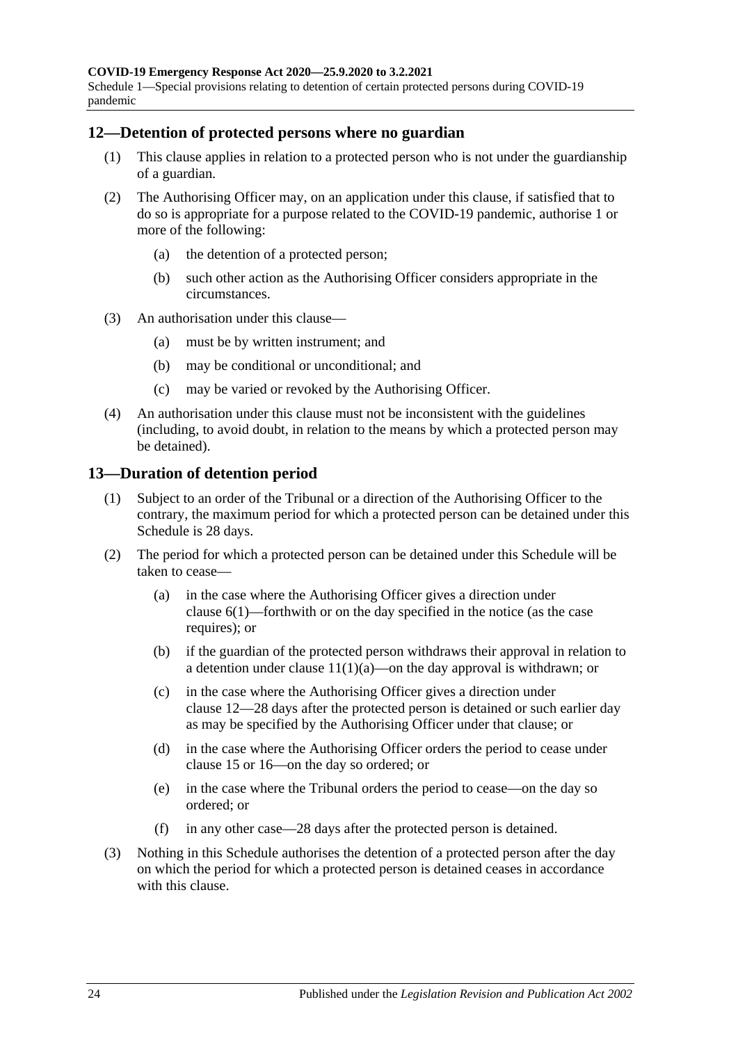Schedule 1—Special provisions relating to detention of certain protected persons during COVID-19 pandemic

#### <span id="page-23-0"></span>**12—Detention of protected persons where no guardian**

- (1) This clause applies in relation to a protected person who is not under the guardianship of a guardian.
- (2) The Authorising Officer may, on an application under this clause, if satisfied that to do so is appropriate for a purpose related to the COVID-19 pandemic, authorise 1 or more of the following:
	- (a) the detention of a protected person;
	- (b) such other action as the Authorising Officer considers appropriate in the circumstances.
- (3) An authorisation under this clause—
	- (a) must be by written instrument; and
	- (b) may be conditional or unconditional; and
	- (c) may be varied or revoked by the Authorising Officer.
- (4) An authorisation under this clause must not be inconsistent with the guidelines (including, to avoid doubt, in relation to the means by which a protected person may be detained).

#### <span id="page-23-1"></span>**13—Duration of detention period**

- (1) Subject to an order of the Tribunal or a direction of the Authorising Officer to the contrary, the maximum period for which a protected person can be detained under this Schedule is 28 days.
- (2) The period for which a protected person can be detained under this Schedule will be taken to cease—
	- (a) in the case where the Authorising Officer gives a direction under [clause](#page-19-3) 6(1)—forthwith or on the day specified in the notice (as the case requires); or
	- (b) if the guardian of the protected person withdraws their approval in relation to a detention under clause  $11(1)(a)$ —on the day approval is withdrawn; or
	- (c) in the case where the Authorising Officer gives a direction under [clause](#page-23-0) 12—28 days after the protected person is detained or such earlier day as may be specified by the Authorising Officer under that clause; or
	- (d) in the case where the Authorising Officer orders the period to cease under [clause](#page-24-1) 15 or [16—](#page-24-2)on the day so ordered; or
	- (e) in the case where the Tribunal orders the period to cease—on the day so ordered; or
	- (f) in any other case—28 days after the protected person is detained.
- (3) Nothing in this Schedule authorises the detention of a protected person after the day on which the period for which a protected person is detained ceases in accordance with this clause.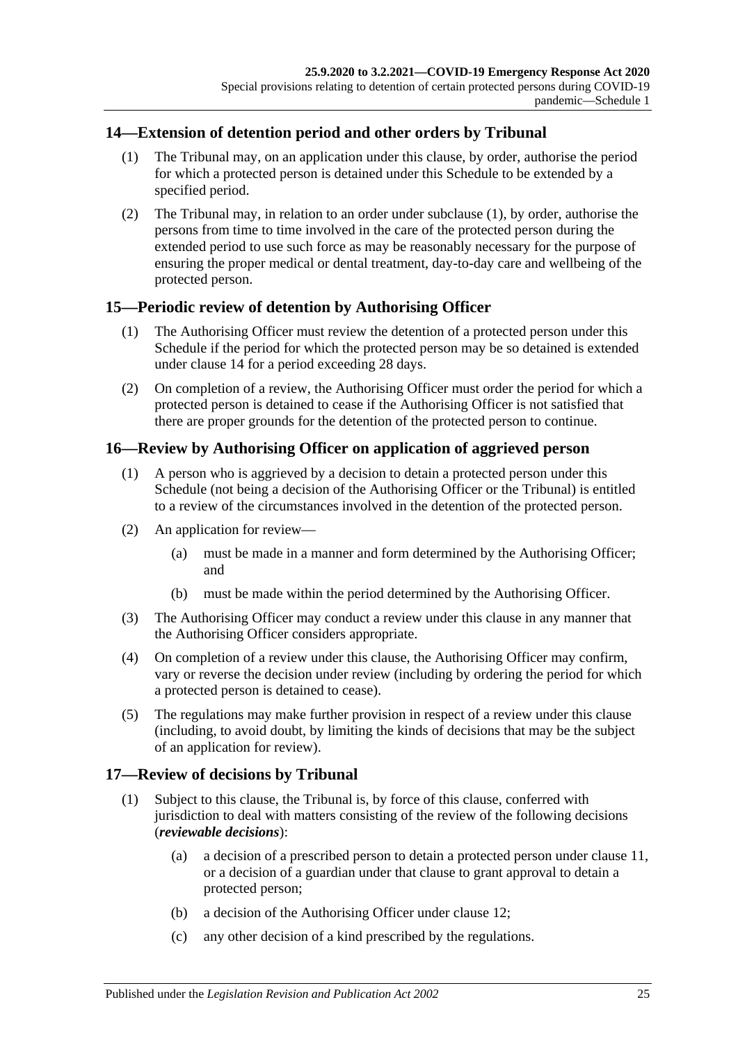### <span id="page-24-4"></span><span id="page-24-0"></span>**14—Extension of detention period and other orders by Tribunal**

- (1) The Tribunal may, on an application under this clause, by order, authorise the period for which a protected person is detained under this Schedule to be extended by a specified period.
- (2) The Tribunal may, in relation to an order under [subclause](#page-24-4) (1), by order, authorise the persons from time to time involved in the care of the protected person during the extended period to use such force as may be reasonably necessary for the purpose of ensuring the proper medical or dental treatment, day-to-day care and wellbeing of the protected person.

### <span id="page-24-1"></span>**15—Periodic review of detention by Authorising Officer**

- (1) The Authorising Officer must review the detention of a protected person under this Schedule if the period for which the protected person may be so detained is extended under [clause](#page-24-0) 14 for a period exceeding 28 days.
- (2) On completion of a review, the Authorising Officer must order the period for which a protected person is detained to cease if the Authorising Officer is not satisfied that there are proper grounds for the detention of the protected person to continue.

### <span id="page-24-2"></span>**16—Review by Authorising Officer on application of aggrieved person**

- (1) A person who is aggrieved by a decision to detain a protected person under this Schedule (not being a decision of the Authorising Officer or the Tribunal) is entitled to a review of the circumstances involved in the detention of the protected person.
- (2) An application for review—
	- (a) must be made in a manner and form determined by the Authorising Officer; and
	- (b) must be made within the period determined by the Authorising Officer.
- (3) The Authorising Officer may conduct a review under this clause in any manner that the Authorising Officer considers appropriate.
- (4) On completion of a review under this clause, the Authorising Officer may confirm, vary or reverse the decision under review (including by ordering the period for which a protected person is detained to cease).
- (5) The regulations may make further provision in respect of a review under this clause (including, to avoid doubt, by limiting the kinds of decisions that may be the subject of an application for review).

## <span id="page-24-3"></span>**17—Review of decisions by Tribunal**

- <span id="page-24-5"></span>(1) Subject to this clause, the Tribunal is, by force of this clause, conferred with jurisdiction to deal with matters consisting of the review of the following decisions (*reviewable decisions*):
	- (a) a decision of a prescribed person to detain a protected person under [clause](#page-22-0) 11, or a decision of a guardian under that clause to grant approval to detain a protected person;
	- (b) a decision of the Authorising Officer under [clause](#page-23-0) 12;
	- (c) any other decision of a kind prescribed by the regulations.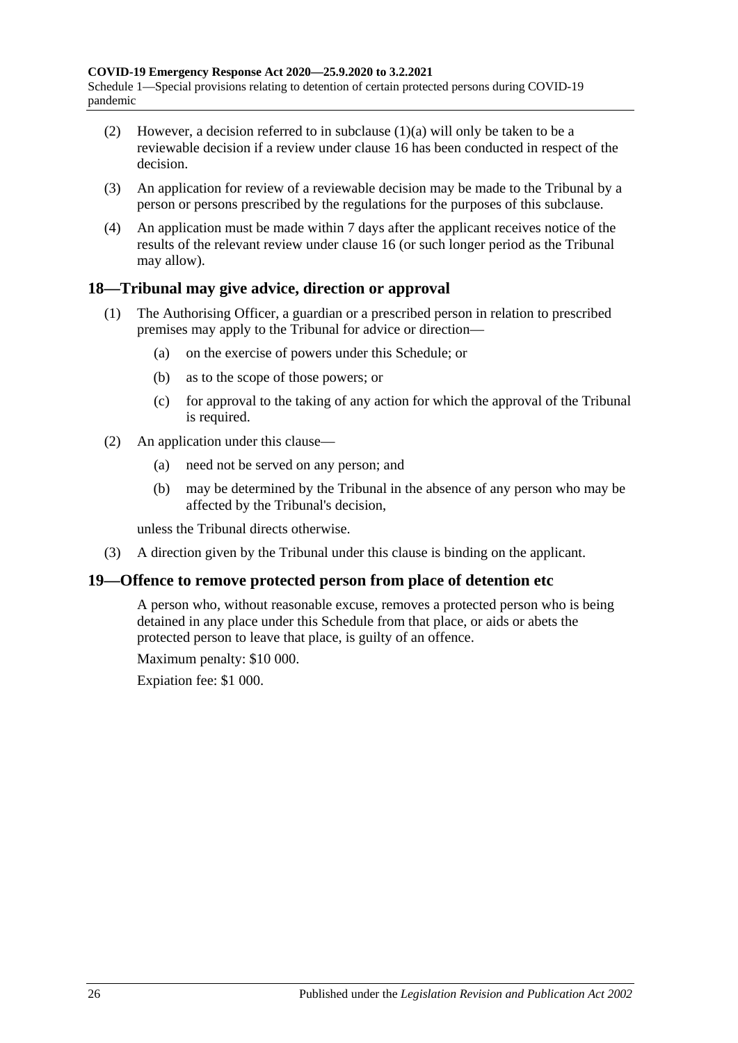Schedule 1—Special provisions relating to detention of certain protected persons during COVID-19 pandemic

- (2) However, a decision referred to in [subclause](#page-24-5)  $(1)(a)$  will only be taken to be a reviewable decision if a review under [clause](#page-24-2) 16 has been conducted in respect of the decision.
- (3) An application for review of a reviewable decision may be made to the Tribunal by a person or persons prescribed by the regulations for the purposes of this subclause.
- (4) An application must be made within 7 days after the applicant receives notice of the results of the relevant review under [clause](#page-24-2) 16 (or such longer period as the Tribunal may allow).

#### <span id="page-25-0"></span>**18—Tribunal may give advice, direction or approval**

- (1) The Authorising Officer, a guardian or a prescribed person in relation to prescribed premises may apply to the Tribunal for advice or direction—
	- (a) on the exercise of powers under this Schedule; or
	- (b) as to the scope of those powers; or
	- (c) for approval to the taking of any action for which the approval of the Tribunal is required.
- (2) An application under this clause—
	- (a) need not be served on any person; and
	- (b) may be determined by the Tribunal in the absence of any person who may be affected by the Tribunal's decision,

unless the Tribunal directs otherwise.

(3) A direction given by the Tribunal under this clause is binding on the applicant.

### <span id="page-25-1"></span>**19—Offence to remove protected person from place of detention etc**

A person who, without reasonable excuse, removes a protected person who is being detained in any place under this Schedule from that place, or aids or abets the protected person to leave that place, is guilty of an offence.

Maximum penalty: \$10 000.

Expiation fee: \$1 000.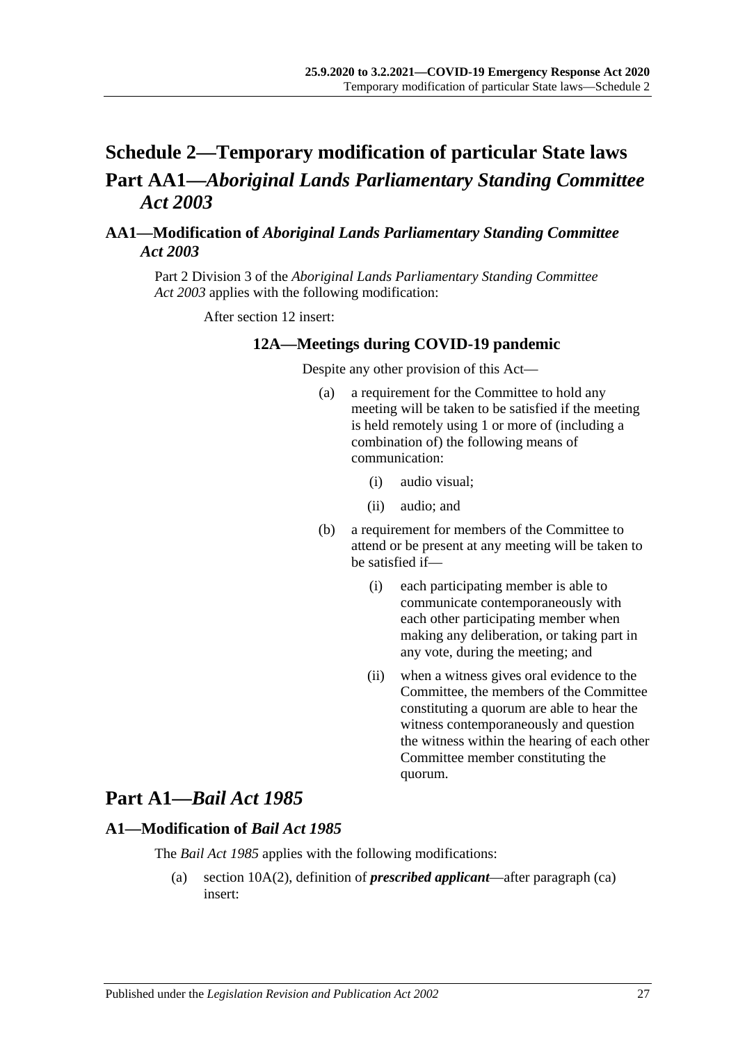## <span id="page-26-0"></span>**Schedule 2—Temporary modification of particular State laws Part AA1—***Aboriginal Lands Parliamentary Standing Committee Act 2003*

## <span id="page-26-1"></span>**AA1—Modification of** *Aboriginal Lands Parliamentary Standing Committee Act 2003*

Part 2 Division 3 of the *[Aboriginal Lands Parliamentary Standing Committee](http://www.legislation.sa.gov.au/index.aspx?action=legref&type=act&legtitle=Aboriginal%20Lands%20Parliamentary%20Standing%20Committee%20Act%202003)  Act [2003](http://www.legislation.sa.gov.au/index.aspx?action=legref&type=act&legtitle=Aboriginal%20Lands%20Parliamentary%20Standing%20Committee%20Act%202003)* applies with the following modification:

After section 12 insert:

### **12A—Meetings during COVID-19 pandemic**

Despite any other provision of this Act—

- (a) a requirement for the Committee to hold any meeting will be taken to be satisfied if the meeting is held remotely using 1 or more of (including a combination of) the following means of communication:
	- (i) audio visual;
	- (ii) audio; and
- (b) a requirement for members of the Committee to attend or be present at any meeting will be taken to be satisfied if—
	- (i) each participating member is able to communicate contemporaneously with each other participating member when making any deliberation, or taking part in any vote, during the meeting; and
	- (ii) when a witness gives oral evidence to the Committee, the members of the Committee constituting a quorum are able to hear the witness contemporaneously and question the witness within the hearing of each other Committee member constituting the quorum.

## **Part A1—***Bail Act 1985*

#### <span id="page-26-2"></span>**A1—Modification of** *Bail Act 1985*

The *[Bail Act](http://www.legislation.sa.gov.au/index.aspx?action=legref&type=act&legtitle=Bail%20Act%201985) 1985* applies with the following modifications:

(a) section 10A(2), definition of *prescribed applicant*—after paragraph (ca) insert: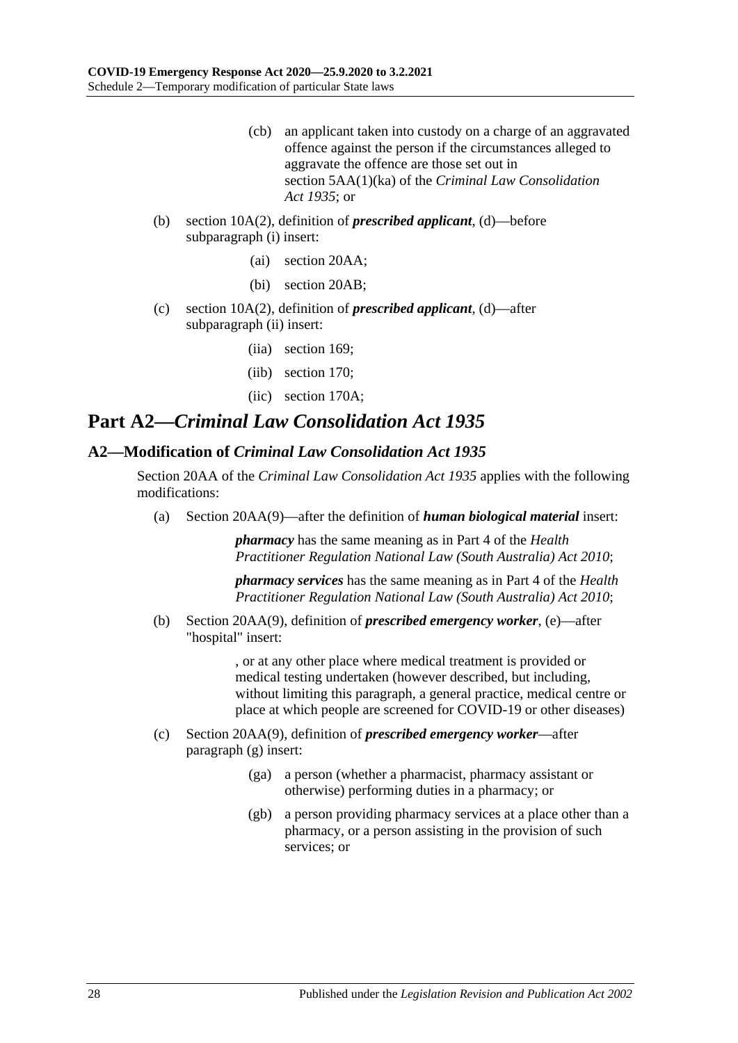- (cb) an applicant taken into custody on a charge of an aggravated offence against the person if the circumstances alleged to aggravate the offence are those set out in section 5AA(1)(ka) of the *[Criminal Law Consolidation](http://www.legislation.sa.gov.au/index.aspx?action=legref&type=act&legtitle=Criminal%20Law%20Consolidation%20Act%201935)  Act [1935](http://www.legislation.sa.gov.au/index.aspx?action=legref&type=act&legtitle=Criminal%20Law%20Consolidation%20Act%201935)*; or
- (b) section 10A(2), definition of *prescribed applicant*, (d)—before subparagraph (i) insert:
	- (ai) section 20AA;
	- (bi) section 20AB;
- (c) section 10A(2), definition of *prescribed applicant*, (d)—after subparagraph (ii) insert:
	- (iia) section 169;
	- (iib) section 170;
	- (iic) section 170A;

## **Part A2—***Criminal Law Consolidation Act 1935*

#### <span id="page-27-0"></span>**A2—Modification of** *Criminal Law Consolidation Act 1935*

Section 20AA of the *[Criminal Law Consolidation Act](http://www.legislation.sa.gov.au/index.aspx?action=legref&type=act&legtitle=Criminal%20Law%20Consolidation%20Act%201935) 1935* applies with the following modifications:

(a) Section 20AA(9)—after the definition of *human biological material* insert:

*pharmacy* has the same meaning as in Part 4 of the *[Health](http://www.legislation.sa.gov.au/index.aspx?action=legref&type=act&legtitle=Health%20Practitioner%20Regulation%20National%20Law%20(South%20Australia)%20Act%202010)  [Practitioner Regulation National Law \(South Australia\) Act](http://www.legislation.sa.gov.au/index.aspx?action=legref&type=act&legtitle=Health%20Practitioner%20Regulation%20National%20Law%20(South%20Australia)%20Act%202010) 2010*;

*pharmacy services* has the same meaning as in Part 4 of the *[Health](http://www.legislation.sa.gov.au/index.aspx?action=legref&type=act&legtitle=Health%20Practitioner%20Regulation%20National%20Law%20(South%20Australia)%20Act%202010)  [Practitioner Regulation National Law \(South Australia\) Act](http://www.legislation.sa.gov.au/index.aspx?action=legref&type=act&legtitle=Health%20Practitioner%20Regulation%20National%20Law%20(South%20Australia)%20Act%202010) 2010*;

(b) Section 20AA(9), definition of *prescribed emergency worker*, (e)—after "hospital" insert:

> , or at any other place where medical treatment is provided or medical testing undertaken (however described, but including, without limiting this paragraph, a general practice, medical centre or place at which people are screened for COVID-19 or other diseases)

- (c) Section 20AA(9), definition of *prescribed emergency worker*—after paragraph (g) insert:
	- (ga) a person (whether a pharmacist, pharmacy assistant or otherwise) performing duties in a pharmacy; or
	- (gb) a person providing pharmacy services at a place other than a pharmacy, or a person assisting in the provision of such services; or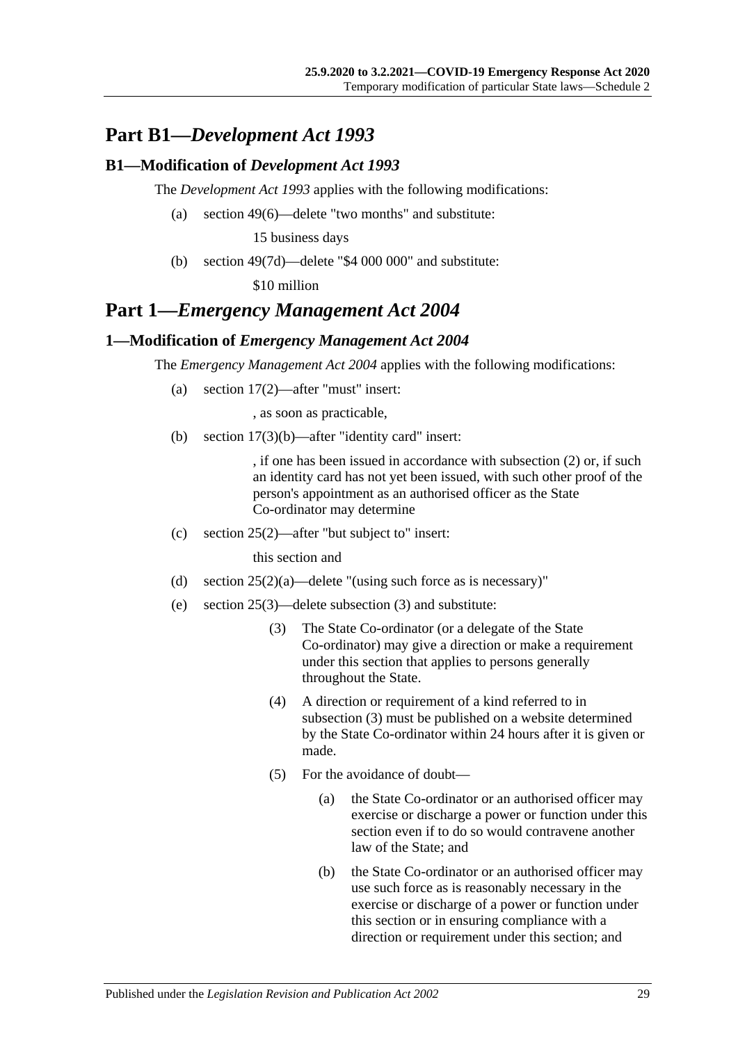## **Part B1—***Development Act 1993*

### <span id="page-28-0"></span>**B1—Modification of** *Development Act 1993*

The *[Development Act](http://www.legislation.sa.gov.au/index.aspx?action=legref&type=act&legtitle=Development%20Act%201993) 1993* applies with the following modifications:

(a) section 49(6)—delete "two months" and substitute:

15 business days

(b) section 49(7d)—delete "\$4 000 000" and substitute:

\$10 million

## **Part 1—***Emergency Management Act 2004*

### <span id="page-28-1"></span>**1—Modification of** *Emergency Management Act 2004*

The *[Emergency Management Act](http://www.legislation.sa.gov.au/index.aspx?action=legref&type=act&legtitle=Emergency%20Management%20Act%202004) 2004* applies with the following modifications:

(a) section 17(2)—after "must" insert:

, as soon as practicable,

(b) section 17(3)(b)—after "identity card" insert:

, if one has been issued in accordance with subsection (2) or, if such an identity card has not yet been issued, with such other proof of the person's appointment as an authorised officer as the State Co-ordinator may determine

(c) section 25(2)—after "but subject to" insert:

this section and

- (d) section 25(2)(a)—delete "(using such force as is necessary)"
- <span id="page-28-2"></span>(e) section 25(3)—delete subsection (3) and substitute:
	- (3) The State Co-ordinator (or a delegate of the State Co-ordinator) may give a direction or make a requirement under this section that applies to persons generally throughout the State.
	- (4) A direction or requirement of a kind referred to in [subsection](#page-28-2) (3) must be published on a website determined by the State Co-ordinator within 24 hours after it is given or made.
	- (5) For the avoidance of doubt—
		- (a) the State Co-ordinator or an authorised officer may exercise or discharge a power or function under this section even if to do so would contravene another law of the State; and
		- (b) the State Co-ordinator or an authorised officer may use such force as is reasonably necessary in the exercise or discharge of a power or function under this section or in ensuring compliance with a direction or requirement under this section; and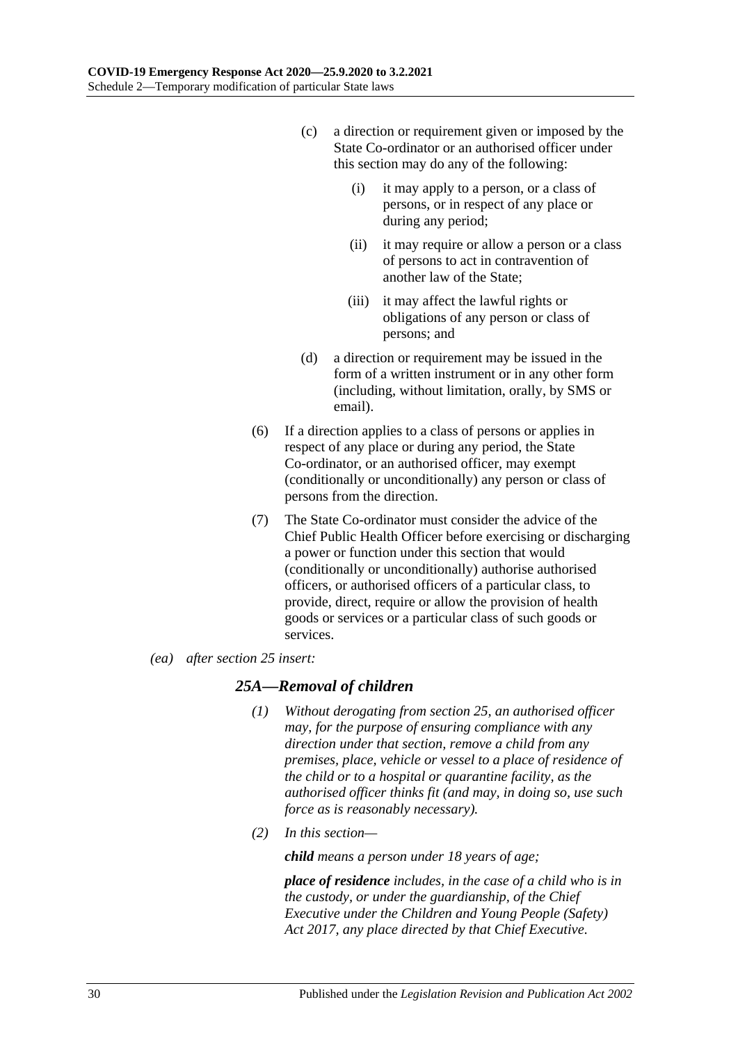- (c) a direction or requirement given or imposed by the State Co-ordinator or an authorised officer under this section may do any of the following:
	- (i) it may apply to a person, or a class of persons, or in respect of any place or during any period;
	- (ii) it may require or allow a person or a class of persons to act in contravention of another law of the State;
	- (iii) it may affect the lawful rights or obligations of any person or class of persons; and
- (d) a direction or requirement may be issued in the form of a written instrument or in any other form (including, without limitation, orally, by SMS or email).
- (6) If a direction applies to a class of persons or applies in respect of any place or during any period, the State Co-ordinator, or an authorised officer, may exempt (conditionally or unconditionally) any person or class of persons from the direction.
- (7) The State Co-ordinator must consider the advice of the Chief Public Health Officer before exercising or discharging a power or function under this section that would (conditionally or unconditionally) authorise authorised officers, or authorised officers of a particular class, to provide, direct, require or allow the provision of health goods or services or a particular class of such goods or services.
- *(ea) after section 25 insert:*

### *25A***—***Removal of children*

- *(1) Without derogating from section 25, an authorised officer may, for the purpose of ensuring compliance with any direction under that section, remove a child from any premises, place, vehicle or vessel to a place of residence of the child or to a hospital or quarantine facility, as the authorised officer thinks fit (and may, in doing so, use such force as is reasonably necessary).*
- *(2) In this section—*

*child means a person under 18 years of age;*

*place of residence includes, in the case of a child who is in the custody, or under the guardianship, of the Chief Executive under the [Children and Young People \(Safety\)](http://www.legislation.sa.gov.au/index.aspx?action=legref&type=act&legtitle=Children%20and%20Young%20People%20(Safety)%20Act%202017)  Act [2017,](http://www.legislation.sa.gov.au/index.aspx?action=legref&type=act&legtitle=Children%20and%20Young%20People%20(Safety)%20Act%202017) any place directed by that Chief Executive.*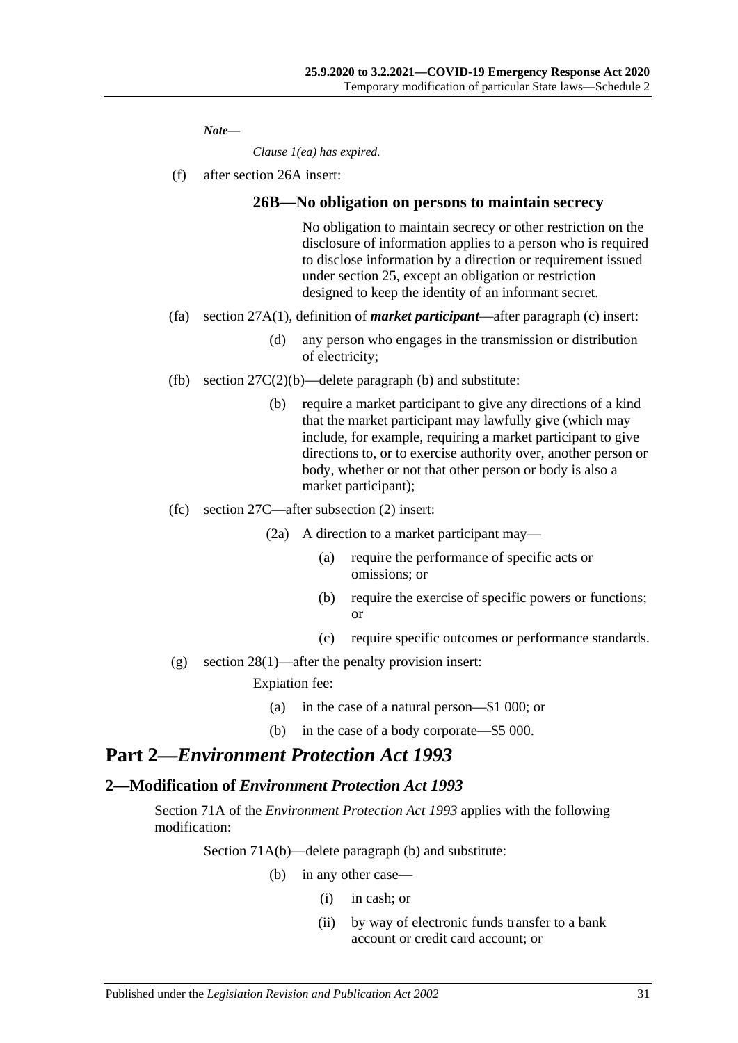*Note***—**

*Clause 1(ea) has expired.*

(f) after section 26A insert:

#### **26B—No obligation on persons to maintain secrecy**

No obligation to maintain secrecy or other restriction on the disclosure of information applies to a person who is required to disclose information by a direction or requirement issued under section 25, except an obligation or restriction designed to keep the identity of an informant secret.

- (fa) section 27A(1), definition of *market participant*—after paragraph (c) insert:
	- (d) any person who engages in the transmission or distribution of electricity;
- (fb) section  $27C(2)(b)$ —delete paragraph (b) and substitute:
	- (b) require a market participant to give any directions of a kind that the market participant may lawfully give (which may include, for example, requiring a market participant to give directions to, or to exercise authority over, another person or body, whether or not that other person or body is also a market participant);
- (fc) section 27C—after subsection (2) insert:
	- (2a) A direction to a market participant may—
		- (a) require the performance of specific acts or omissions; or
		- (b) require the exercise of specific powers or functions; or
		- (c) require specific outcomes or performance standards.
- (g) section 28(1)—after the penalty provision insert:

Expiation fee:

- (a) in the case of a natural person—\$1 000; or
- (b) in the case of a body corporate—\$5 000.

## **Part 2—***Environment Protection Act 1993*

#### <span id="page-30-0"></span>**2—Modification of** *Environment Protection Act 1993*

Section 71A of the *[Environment Protection Act](http://www.legislation.sa.gov.au/index.aspx?action=legref&type=act&legtitle=Environment%20Protection%20Act%201993) 1993* applies with the following modification:

Section 71A(b)—delete paragraph (b) and substitute:

- (b) in any other case—
	- (i) in cash; or
	- (ii) by way of electronic funds transfer to a bank account or credit card account; or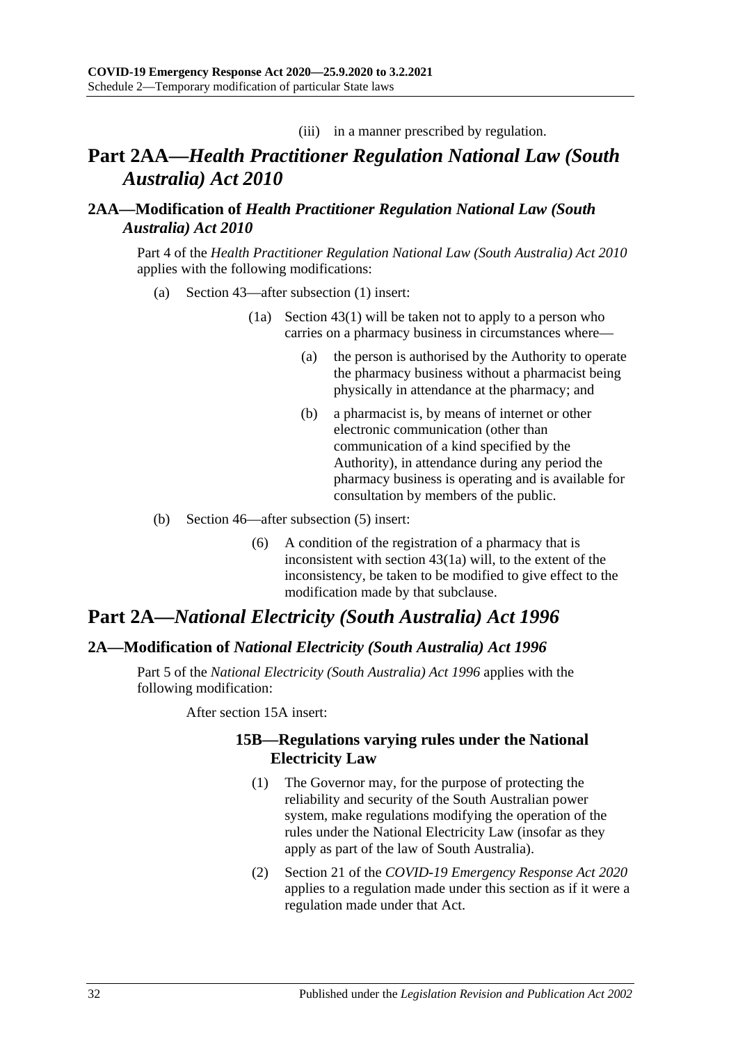(iii) in a manner prescribed by regulation.

## **Part 2AA—***Health Practitioner Regulation National Law (South Australia) Act 2010*

## <span id="page-31-0"></span>**2AA—Modification of** *Health Practitioner Regulation National Law (South Australia) Act 2010*

Part 4 of the *[Health Practitioner Regulation National Law \(South Australia\) Act](http://www.legislation.sa.gov.au/index.aspx?action=legref&type=act&legtitle=Health%20Practitioner%20Regulation%20National%20Law%20(South%20Australia)%20Act%202010) 2010* applies with the following modifications:

- (a) Section 43—after subsection (1) insert:
	- (1a) Section 43(1) will be taken not to apply to a person who carries on a pharmacy business in circumstances where—
		- (a) the person is authorised by the Authority to operate the pharmacy business without a pharmacist being physically in attendance at the pharmacy; and
		- (b) a pharmacist is, by means of internet or other electronic communication (other than communication of a kind specified by the Authority), in attendance during any period the pharmacy business is operating and is available for consultation by members of the public.
- (b) Section 46—after subsection (5) insert:
	- (6) A condition of the registration of a pharmacy that is inconsistent with section 43(1a) will, to the extent of the inconsistency, be taken to be modified to give effect to the modification made by that subclause.

## **Part 2A—***National Electricity (South Australia) Act 1996*

## <span id="page-31-1"></span>**2A—Modification of** *National Electricity (South Australia) Act 1996*

Part 5 of the *[National Electricity \(South Australia\) Act](http://www.legislation.sa.gov.au/index.aspx?action=legref&type=act&legtitle=National%20Electricity%20(South%20Australia)%20Act%201996) 1996* applies with the following modification:

After section 15A insert:

## **15B—Regulations varying rules under the National Electricity Law**

- (1) The Governor may, for the purpose of protecting the reliability and security of the South Australian power system, make regulations modifying the operation of the rules under the National Electricity Law (insofar as they apply as part of the law of South Australia).
- (2) Section 21 of the *[COVID-19 Emergency Response Act](http://www.legislation.sa.gov.au/index.aspx?action=legref&type=act&legtitle=COVID-19%20Emergency%20Response%20Act%202020) 2020* applies to a regulation made under this section as if it were a regulation made under that Act.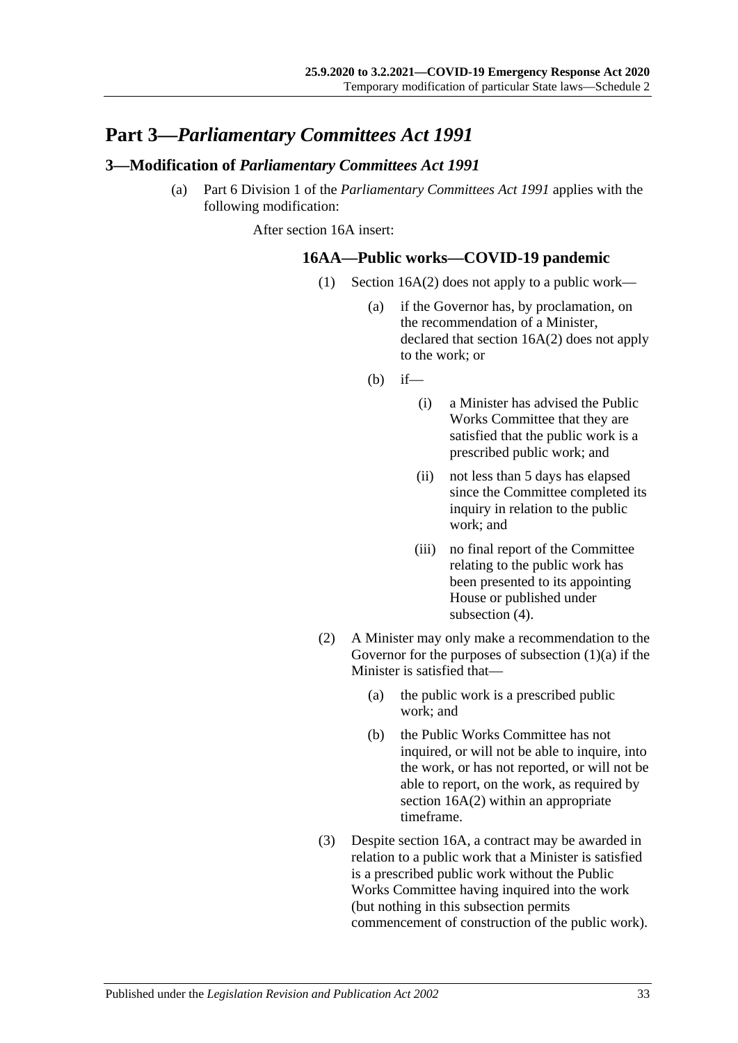## **Part 3—***Parliamentary Committees Act 1991*

### <span id="page-32-0"></span>**3—Modification of** *Parliamentary Committees Act 1991*

<span id="page-32-1"></span>(a) Part 6 Division 1 of the *[Parliamentary Committees Act](http://www.legislation.sa.gov.au/index.aspx?action=legref&type=act&legtitle=Parliamentary%20Committees%20Act%201991) 1991* applies with the following modification:

After section 16A insert:

#### **16AA—Public works—COVID-19 pandemic**

- (1) Section 16A(2) does not apply to a public work—
	- (a) if the Governor has, by proclamation, on the recommendation of a Minister, declared that section 16A(2) does not apply to the work; or
	- (b) if—
		- (i) a Minister has advised the Public Works Committee that they are satisfied that the public work is a prescribed public work; and
		- (ii) not less than 5 days has elapsed since the Committee completed its inquiry in relation to the public work; and
		- (iii) no final report of the Committee relating to the public work has been presented to its appointing House or published under [subsection](#page-33-0)  $(4)$ .
- (2) A Minister may only make a recommendation to the Governor for the purposes of [subsection](#page-32-1)  $(1)(a)$  if the Minister is satisfied that—
	- (a) the public work is a prescribed public work; and
	- (b) the Public Works Committee has not inquired, or will not be able to inquire, into the work, or has not reported, or will not be able to report, on the work, as required by section 16A(2) within an appropriate timeframe.
- (3) Despite section 16A, a contract may be awarded in relation to a public work that a Minister is satisfied is a prescribed public work without the Public Works Committee having inquired into the work (but nothing in this subsection permits commencement of construction of the public work).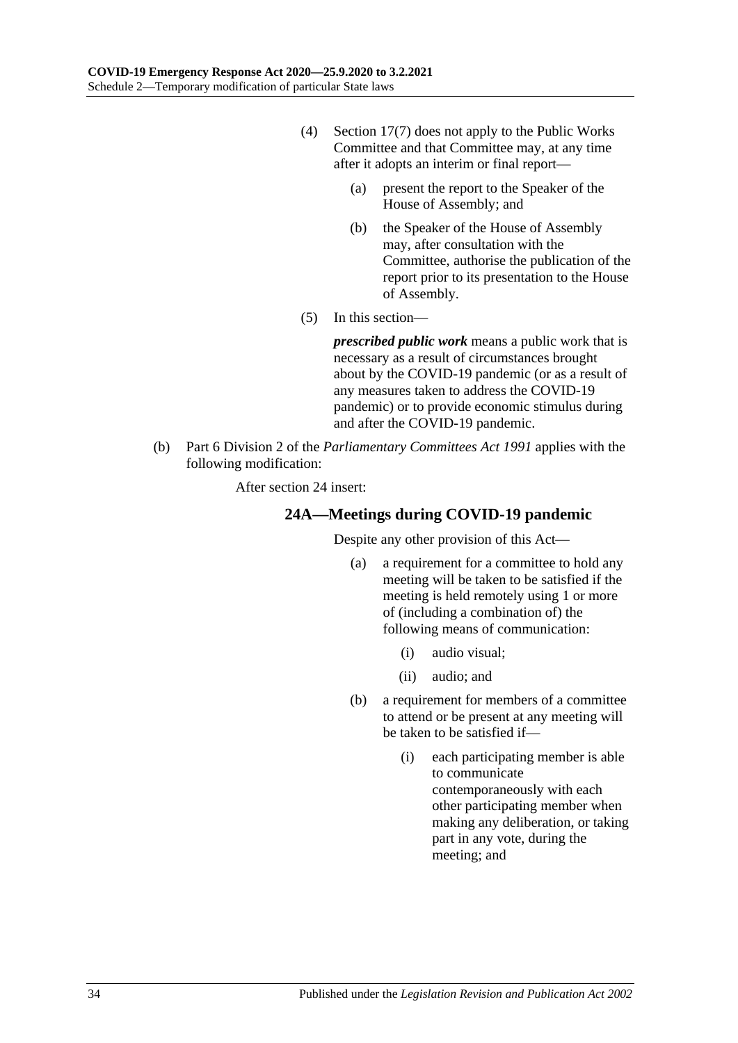- <span id="page-33-0"></span>(4) Section 17(7) does not apply to the Public Works Committee and that Committee may, at any time after it adopts an interim or final report—
	- (a) present the report to the Speaker of the House of Assembly; and
	- (b) the Speaker of the House of Assembly may, after consultation with the Committee, authorise the publication of the report prior to its presentation to the House of Assembly.
- (5) In this section—

*prescribed public work* means a public work that is necessary as a result of circumstances brought about by the COVID-19 pandemic (or as a result of any measures taken to address the COVID-19 pandemic) or to provide economic stimulus during and after the COVID-19 pandemic.

(b) Part 6 Division 2 of the *[Parliamentary Committees Act](http://www.legislation.sa.gov.au/index.aspx?action=legref&type=act&legtitle=Parliamentary%20Committees%20Act%201991) 1991* applies with the following modification:

After section 24 insert:

### **24A—Meetings during COVID-19 pandemic**

Despite any other provision of this Act—

- (a) a requirement for a committee to hold any meeting will be taken to be satisfied if the meeting is held remotely using 1 or more of (including a combination of) the following means of communication:
	- (i) audio visual;
	- (ii) audio; and
- (b) a requirement for members of a committee to attend or be present at any meeting will be taken to be satisfied if—
	- (i) each participating member is able to communicate contemporaneously with each other participating member when making any deliberation, or taking part in any vote, during the meeting; and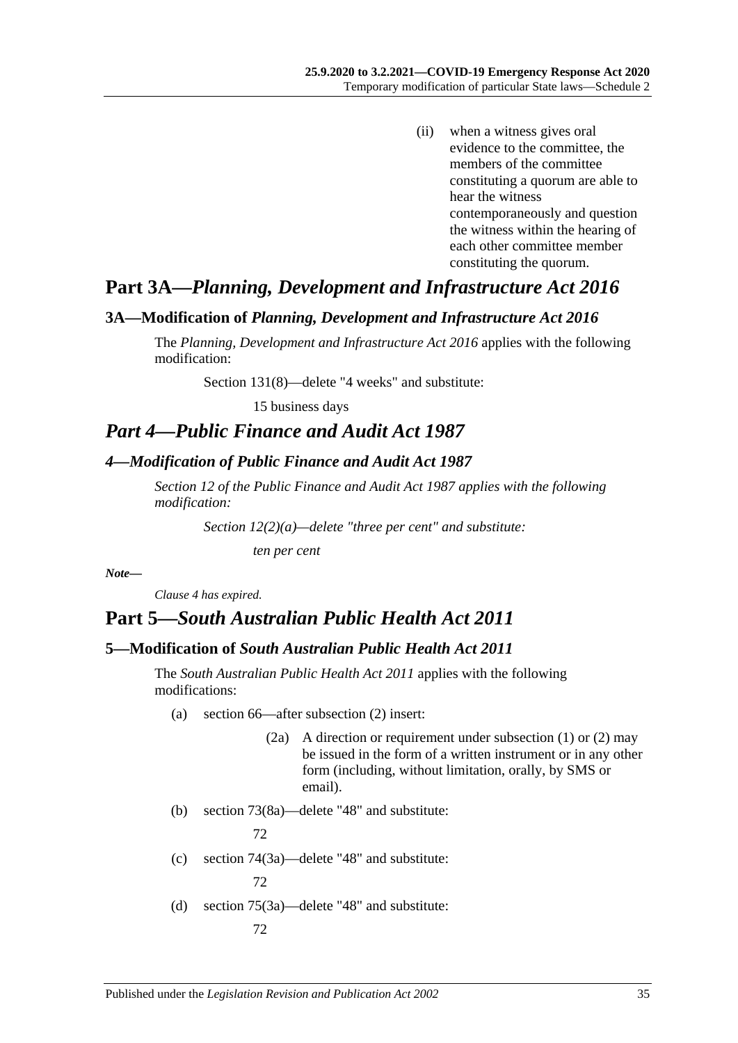(ii) when a witness gives oral evidence to the committee, the members of the committee constituting a quorum are able to hear the witness contemporaneously and question the witness within the hearing of each other committee member constituting the quorum.

## **Part 3A—***Planning, Development and Infrastructure Act 2016*

#### <span id="page-34-0"></span>**3A—Modification of** *Planning, Development and Infrastructure Act 2016*

The *[Planning, Development and Infrastructure Act](http://www.legislation.sa.gov.au/index.aspx?action=legref&type=act&legtitle=Planning%20Development%20and%20Infrastructure%20Act%202016) 2016* applies with the following modification:

Section 131(8)—delete "4 weeks" and substitute:

15 business days

## *Part 4—Public Finance and Audit Act 1987*

#### <span id="page-34-1"></span>*4—Modification of Public Finance and Audit Act 1987*

*Section 12 of the [Public Finance and Audit Act](http://www.legislation.sa.gov.au/index.aspx?action=legref&type=act&legtitle=Public%20Finance%20and%20Audit%20Act%201987) 1987 applies with the following modification:*

*Section 12(2)(a)—delete "three per cent" and substitute: ten per cent*

*Note—*

*Clause 4 has expired.*

## **Part 5—***South Australian Public Health Act 2011*

#### <span id="page-34-2"></span>**5—Modification of** *South Australian Public Health Act 2011*

The *[South Australian Public Health Act](http://www.legislation.sa.gov.au/index.aspx?action=legref&type=act&legtitle=South%20Australian%20Public%20Health%20Act%202011) 2011* applies with the following modifications:

- (a) section 66—after subsection (2) insert:
	- (2a) A direction or requirement under subsection (1) or (2) may be issued in the form of a written instrument or in any other form (including, without limitation, orally, by SMS or email).
- (b) section 73(8a)—delete "48" and substitute:

72

(c) section 74(3a)—delete "48" and substitute:

72

(d) section 75(3a)—delete "48" and substitute: 72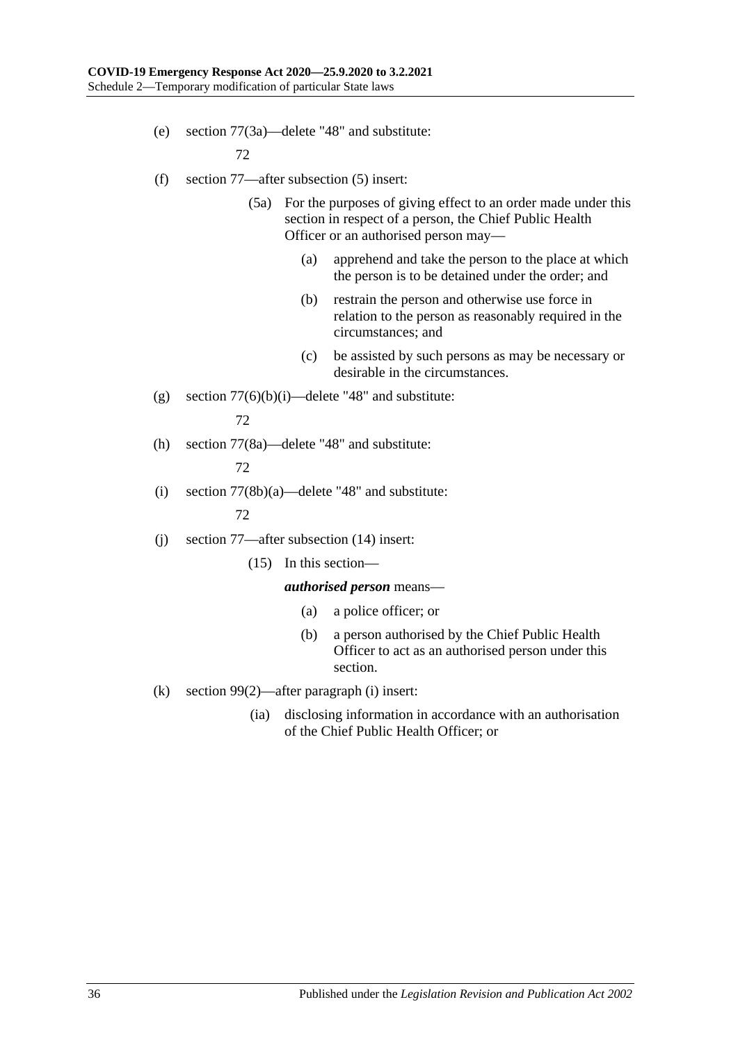(e) section 77(3a)—delete "48" and substitute:

72

- (f) section 77—after subsection (5) insert:
	- (5a) For the purposes of giving effect to an order made under this section in respect of a person, the Chief Public Health Officer or an authorised person may—
		- (a) apprehend and take the person to the place at which the person is to be detained under the order; and
		- (b) restrain the person and otherwise use force in relation to the person as reasonably required in the circumstances; and
		- (c) be assisted by such persons as may be necessary or desirable in the circumstances.
- (g) section  $77(6)(b)(i)$ —delete "48" and substitute: 72

(h) section 77(8a)—delete "48" and substitute:

72

(i) section  $77(8b)(a)$ —delete "48" and substitute:

72

- (j) section 77—after subsection (14) insert:
	- (15) In this section—

#### *authorised person* means—

- (a) a police officer; or
- (b) a person authorised by the Chief Public Health Officer to act as an authorised person under this section.
- (k) section 99(2)—after paragraph (i) insert:
	- (ia) disclosing information in accordance with an authorisation of the Chief Public Health Officer; or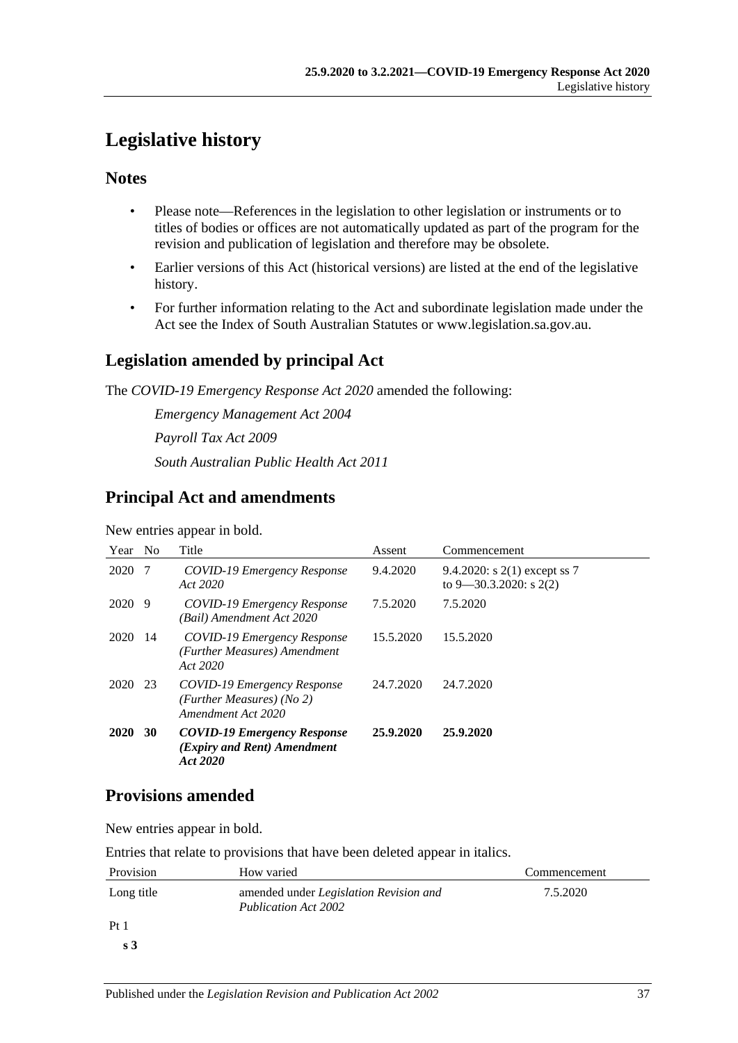## <span id="page-36-0"></span>**Legislative history**

## **Notes**

- Please note—References in the legislation to other legislation or instruments or to titles of bodies or offices are not automatically updated as part of the program for the revision and publication of legislation and therefore may be obsolete.
- Earlier versions of this Act (historical versions) are listed at the end of the legislative history.
- For further information relating to the Act and subordinate legislation made under the Act see the Index of South Australian Statutes or www.legislation.sa.gov.au.

## **Legislation amended by principal Act**

The *COVID-19 Emergency Response Act 2020* amended the following:

*Emergency Management Act 2004 Payroll Tax Act 2009 South Australian Public Health Act 2011*

## **Principal Act and amendments**

New entries appear in bold.

| Year | N <sub>0</sub> | Title                                                                                 | Assent    | Commencement                                                  |
|------|----------------|---------------------------------------------------------------------------------------|-----------|---------------------------------------------------------------|
| 2020 | -7             | COVID-19 Emergency Response<br>Act 2020                                               | 9.4.2020  | 9.4.2020: s $2(1)$ except ss 7<br>to $9 - 30.3.2020$ : s 2(2) |
| 2020 | 9              | COVID-19 Emergency Response<br>(Bail) Amendment Act 2020                              | 7.5.2020  | 7.5.2020                                                      |
| 2020 | 14             | COVID-19 Emergency Response<br>(Further Measures) Amendment<br>Act 2020               | 15.5.2020 | 15.5.2020                                                     |
| 2020 | 23             | <b>COVID-19 Emergency Response</b><br>(Further Measures) (No 2)<br>Amendment Act 2020 | 24.7.2020 | 24.7.2020                                                     |
| 2020 | 30             | <b>COVID-19 Emergency Response</b><br>(Expiry and Rent) Amendment<br>Act 2020         | 25.9.2020 | 25.9.2020                                                     |

## **Provisions amended**

New entries appear in bold.

Entries that relate to provisions that have been deleted appear in italics.

| Provision       | How varied                                                     | Commencement |
|-----------------|----------------------------------------------------------------|--------------|
| Long title      | amended under Legislation Revision and<br>Publication Act 2002 | 7.5.2020     |
| Pt <sub>1</sub> |                                                                |              |
| s 3             |                                                                |              |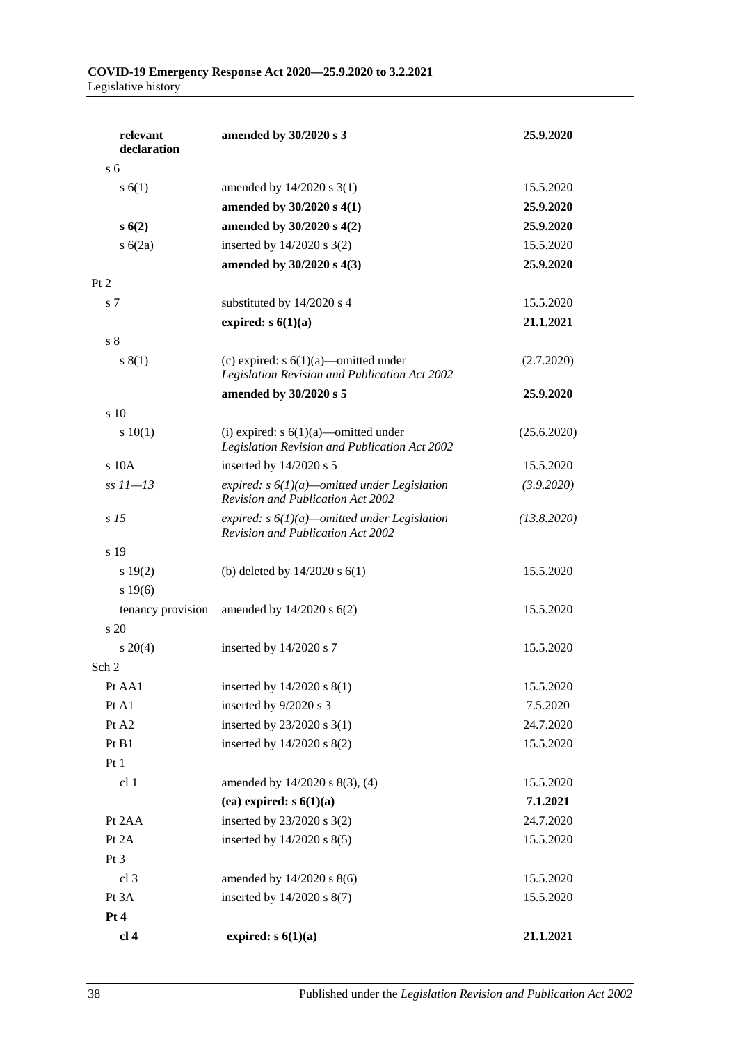| relevant<br>declaration | amended by 30/2020 s 3                                                                             | 25.9.2020   |
|-------------------------|----------------------------------------------------------------------------------------------------|-------------|
| s <sub>6</sub>          |                                                                                                    |             |
| s(6(1))                 | amended by $14/2020$ s $3(1)$                                                                      | 15.5.2020   |
|                         | amended by 30/2020 s 4(1)                                                                          | 25.9.2020   |
| s(6(2)                  | amended by 30/2020 s 4(2)                                                                          | 25.9.2020   |
| s(6(2a)                 | inserted by $14/2020$ s $3(2)$                                                                     | 15.5.2020   |
|                         | amended by 30/2020 s 4(3)                                                                          | 25.9.2020   |
| Pt 2                    |                                                                                                    |             |
| s 7                     | substituted by 14/2020 s 4                                                                         | 15.5.2020   |
|                         | expired: $s 6(1)(a)$                                                                               | 21.1.2021   |
| s <sub>8</sub>          |                                                                                                    |             |
| s(1)                    | (c) expired: $s \ 6(1)(a)$ —omitted under<br>Legislation Revision and Publication Act 2002         | (2.7.2020)  |
|                         | amended by 30/2020 s 5                                                                             | 25.9.2020   |
| s 10                    |                                                                                                    |             |
| 10(1)                   | (i) expired: $s \ 6(1)(a)$ —omitted under<br>Legislation Revision and Publication Act 2002         | (25.6.2020) |
| s 10A                   | inserted by $14/2020$ s 5                                                                          | 15.5.2020   |
| $ss 11 - 13$            | expired: $s \frac{6}{1}(a)$ -omitted under Legislation<br><b>Revision and Publication Act 2002</b> | (3.9.2020)  |
| s <sub>15</sub>         | expired: $s \, 6(1)(a)$ —omitted under Legislation<br><b>Revision and Publication Act 2002</b>     | (13.8.2020) |
| s 19                    |                                                                                                    |             |
| s 19(2)                 | (b) deleted by $14/2020$ s $6(1)$                                                                  | 15.5.2020   |
| s 19(6)                 |                                                                                                    |             |
| tenancy provision       | amended by 14/2020 s 6(2)                                                                          | 15.5.2020   |
| $\frac{1}{20}$          |                                                                                                    |             |
| $\frac{20(4)}{2}$       | inserted by 14/2020 s 7                                                                            | 15.5.2020   |
| Sch 2                   |                                                                                                    |             |
| Pt AA1                  | inserted by 14/2020 s 8(1)                                                                         | 15.5.2020   |
| Pt A1                   | inserted by 9/2020 s 3                                                                             | 7.5.2020    |
| Pt A2                   | inserted by 23/2020 s 3(1)                                                                         | 24.7.2020   |
| Pt B1                   | inserted by $14/2020$ s $8(2)$                                                                     | 15.5.2020   |
| Pt1                     |                                                                                                    |             |
| cl 1                    | amended by 14/2020 s 8(3), (4)                                                                     | 15.5.2020   |
|                         | (ea) expired: $s$ $6(1)(a)$                                                                        | 7.1.2021    |
| Pt 2AA                  | inserted by 23/2020 s 3(2)                                                                         | 24.7.2020   |
| Pt 2A                   | inserted by $14/2020$ s $8(5)$                                                                     | 15.5.2020   |
| Pt 3                    |                                                                                                    |             |
| cl <sub>3</sub>         | amended by 14/2020 s 8(6)                                                                          | 15.5.2020   |
| Pt 3A                   | inserted by 14/2020 s 8(7)                                                                         | 15.5.2020   |
| Pt 4                    |                                                                                                    |             |
| cl <sub>4</sub>         | expired: $s$ $6(1)(a)$                                                                             | 21.1.2021   |